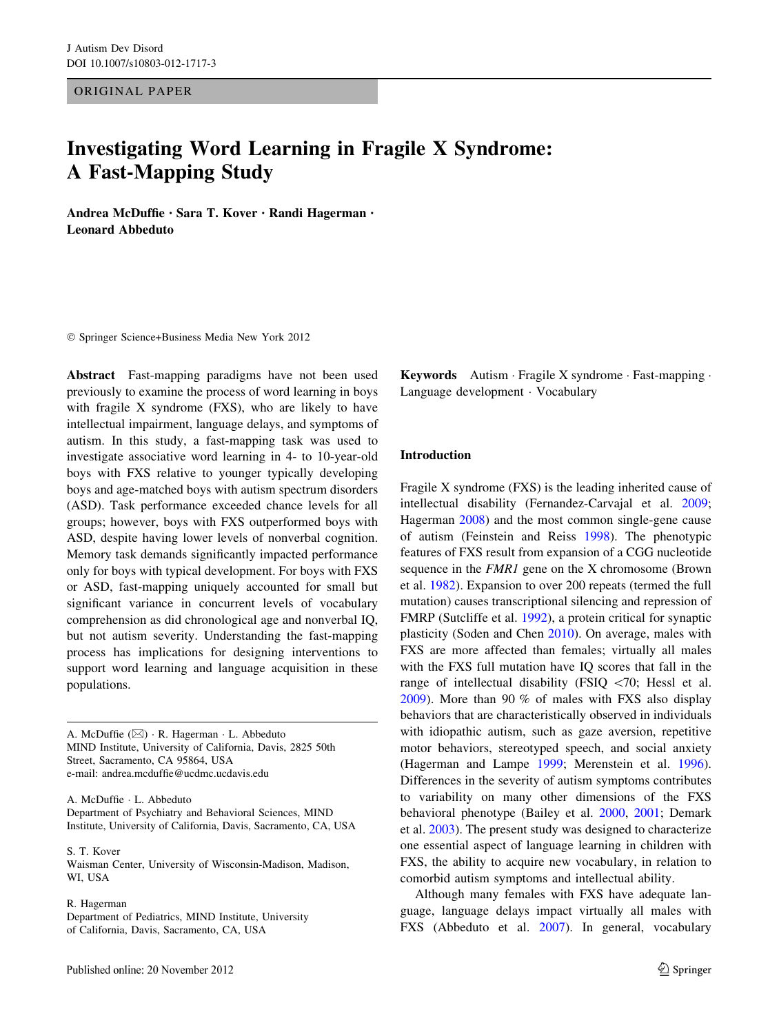ORIGINAL PAPER

# Investigating Word Learning in Fragile X Syndrome: A Fast-Mapping Study

Andrea McDuffie • Sara T. Kover • Randi Hagerman • Leonard Abbeduto

- Springer Science+Business Media New York 2012

Abstract Fast-mapping paradigms have not been used previously to examine the process of word learning in boys with fragile X syndrome (FXS), who are likely to have intellectual impairment, language delays, and symptoms of autism. In this study, a fast-mapping task was used to investigate associative word learning in 4- to 10-year-old boys with FXS relative to younger typically developing boys and age-matched boys with autism spectrum disorders (ASD). Task performance exceeded chance levels for all groups; however, boys with FXS outperformed boys with ASD, despite having lower levels of nonverbal cognition. Memory task demands significantly impacted performance only for boys with typical development. For boys with FXS or ASD, fast-mapping uniquely accounted for small but significant variance in concurrent levels of vocabulary comprehension as did chronological age and nonverbal IQ, but not autism severity. Understanding the fast-mapping process has implications for designing interventions to support word learning and language acquisition in these populations.

A. McDuffie (&) - R. Hagerman - L. Abbeduto MIND Institute, University of California, Davis, 2825 50th Street, Sacramento, CA 95864, USA e-mail: andrea.mcduffie@ucdmc.ucdavis.edu

A. McDuffie - L. Abbeduto Department of Psychiatry and Behavioral Sciences, MIND Institute, University of California, Davis, Sacramento, CA, USA

S. T. Kover Waisman Center, University of Wisconsin-Madison, Madison, WI, USA

R. Hagerman

Department of Pediatrics, MIND Institute, University of California, Davis, Sacramento, CA, USA

Keywords Autism - Fragile X syndrome - Fast-mapping - Language development - Vocabulary

### Introduction

Fragile X syndrome (FXS) is the leading inherited cause of intellectual disability (Fernandez-Carvajal et al. [2009](#page-14-0); Hagerman [2008](#page-14-0)) and the most common single-gene cause of autism (Feinstein and Reiss [1998\)](#page-14-0). The phenotypic features of FXS result from expansion of a CGG nucleotide sequence in the FMR1 gene on the X chromosome (Brown et al. [1982](#page-14-0)). Expansion to over 200 repeats (termed the full mutation) causes transcriptional silencing and repression of FMRP (Sutcliffe et al. [1992\)](#page-15-0), a protein critical for synaptic plasticity (Soden and Chen [2010](#page-15-0)). On average, males with FXS are more affected than females; virtually all males with the FXS full mutation have IQ scores that fall in the range of intellectual disability (FSIQ  $\langle 70;$  Hessl et al. [2009](#page-14-0)). More than 90 % of males with FXS also display behaviors that are characteristically observed in individuals with idiopathic autism, such as gaze aversion, repetitive motor behaviors, stereotyped speech, and social anxiety (Hagerman and Lampe [1999;](#page-14-0) Merenstein et al. [1996](#page-15-0)). Differences in the severity of autism symptoms contributes to variability on many other dimensions of the FXS behavioral phenotype (Bailey et al. [2000](#page-14-0), [2001;](#page-14-0) Demark et al. [2003\)](#page-14-0). The present study was designed to characterize one essential aspect of language learning in children with FXS, the ability to acquire new vocabulary, in relation to comorbid autism symptoms and intellectual ability.

Although many females with FXS have adequate language, language delays impact virtually all males with FXS (Abbeduto et al. [2007](#page-13-0)). In general, vocabulary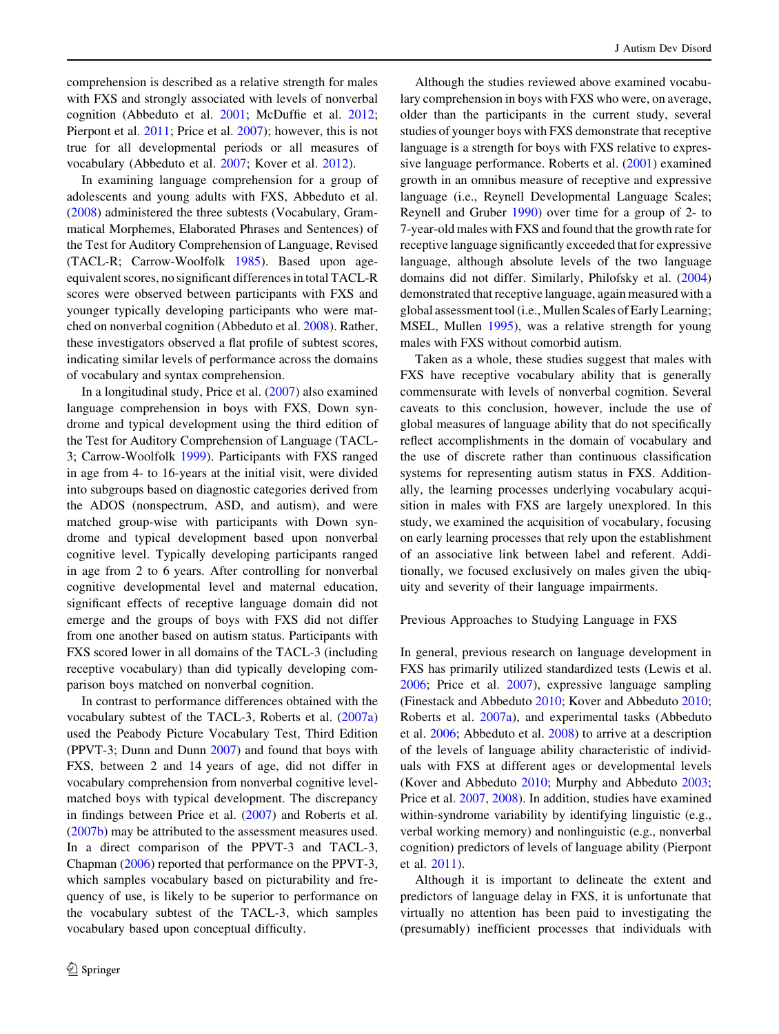comprehension is described as a relative strength for males with FXS and strongly associated with levels of nonverbal cognition (Abbeduto et al. [2001](#page-13-0); McDuffie et al. [2012](#page-15-0); Pierpont et al. [2011](#page-15-0); Price et al. [2007](#page-15-0)); however, this is not true for all developmental periods or all measures of vocabulary (Abbeduto et al. [2007;](#page-13-0) Kover et al. [2012\)](#page-14-0).

In examining language comprehension for a group of adolescents and young adults with FXS, Abbeduto et al. [\(2008](#page-13-0)) administered the three subtests (Vocabulary, Grammatical Morphemes, Elaborated Phrases and Sentences) of the Test for Auditory Comprehension of Language, Revised (TACL-R; Carrow-Woolfolk [1985\)](#page-14-0). Based upon ageequivalent scores, no significant differences in total TACL-R scores were observed between participants with FXS and younger typically developing participants who were matched on nonverbal cognition (Abbeduto et al. [2008](#page-13-0)). Rather, these investigators observed a flat profile of subtest scores, indicating similar levels of performance across the domains of vocabulary and syntax comprehension.

In a longitudinal study, Price et al. ([2007\)](#page-15-0) also examined language comprehension in boys with FXS, Down syndrome and typical development using the third edition of the Test for Auditory Comprehension of Language (TACL-3; Carrow-Woolfolk [1999\)](#page-14-0). Participants with FXS ranged in age from 4- to 16-years at the initial visit, were divided into subgroups based on diagnostic categories derived from the ADOS (nonspectrum, ASD, and autism), and were matched group-wise with participants with Down syndrome and typical development based upon nonverbal cognitive level. Typically developing participants ranged in age from 2 to 6 years. After controlling for nonverbal cognitive developmental level and maternal education, significant effects of receptive language domain did not emerge and the groups of boys with FXS did not differ from one another based on autism status. Participants with FXS scored lower in all domains of the TACL-3 (including receptive vocabulary) than did typically developing comparison boys matched on nonverbal cognition.

In contrast to performance differences obtained with the vocabulary subtest of the TACL-3, Roberts et al. [\(2007a\)](#page-15-0) used the Peabody Picture Vocabulary Test, Third Edition (PPVT-3; Dunn and Dunn [2007\)](#page-14-0) and found that boys with FXS, between 2 and 14 years of age, did not differ in vocabulary comprehension from nonverbal cognitive levelmatched boys with typical development. The discrepancy in findings between Price et al. [\(2007](#page-15-0)) and Roberts et al. [\(2007b](#page-15-0)) may be attributed to the assessment measures used. In a direct comparison of the PPVT-3 and TACL-3, Chapman [\(2006](#page-14-0)) reported that performance on the PPVT-3, which samples vocabulary based on picturability and frequency of use, is likely to be superior to performance on the vocabulary subtest of the TACL-3, which samples vocabulary based upon conceptual difficulty.

Although the studies reviewed above examined vocabulary comprehension in boys with FXS who were, on average, older than the participants in the current study, several studies of younger boys with FXS demonstrate that receptive language is a strength for boys with FXS relative to expressive language performance. Roberts et al. [\(2001](#page-15-0)) examined growth in an omnibus measure of receptive and expressive language (i.e., Reynell Developmental Language Scales; Reynell and Gruber [1990](#page-15-0)) over time for a group of 2- to 7-year-old males with FXS and found that the growth rate for receptive language significantly exceeded that for expressive language, although absolute levels of the two language domains did not differ. Similarly, Philofsky et al. ([2004\)](#page-15-0) demonstrated that receptive language, again measured with a global assessment tool (i.e., Mullen Scales of Early Learning; MSEL, Mullen [1995\)](#page-15-0), was a relative strength for young males with FXS without comorbid autism.

Taken as a whole, these studies suggest that males with FXS have receptive vocabulary ability that is generally commensurate with levels of nonverbal cognition. Several caveats to this conclusion, however, include the use of global measures of language ability that do not specifically reflect accomplishments in the domain of vocabulary and the use of discrete rather than continuous classification systems for representing autism status in FXS. Additionally, the learning processes underlying vocabulary acquisition in males with FXS are largely unexplored. In this study, we examined the acquisition of vocabulary, focusing on early learning processes that rely upon the establishment of an associative link between label and referent. Additionally, we focused exclusively on males given the ubiquity and severity of their language impairments.

### Previous Approaches to Studying Language in FXS

In general, previous research on language development in FXS has primarily utilized standardized tests (Lewis et al. [2006](#page-14-0); Price et al. [2007\)](#page-15-0), expressive language sampling (Finestack and Abbeduto [2010](#page-14-0); Kover and Abbeduto [2010](#page-14-0); Roberts et al. [2007a\)](#page-15-0), and experimental tasks (Abbeduto et al. [2006;](#page-13-0) Abbeduto et al. [2008](#page-13-0)) to arrive at a description of the levels of language ability characteristic of individuals with FXS at different ages or developmental levels (Kover and Abbeduto [2010;](#page-14-0) Murphy and Abbeduto [2003](#page-15-0); Price et al. [2007](#page-15-0), [2008](#page-15-0)). In addition, studies have examined within-syndrome variability by identifying linguistic (e.g., verbal working memory) and nonlinguistic (e.g., nonverbal cognition) predictors of levels of language ability (Pierpont et al. [2011\)](#page-15-0).

Although it is important to delineate the extent and predictors of language delay in FXS, it is unfortunate that virtually no attention has been paid to investigating the (presumably) inefficient processes that individuals with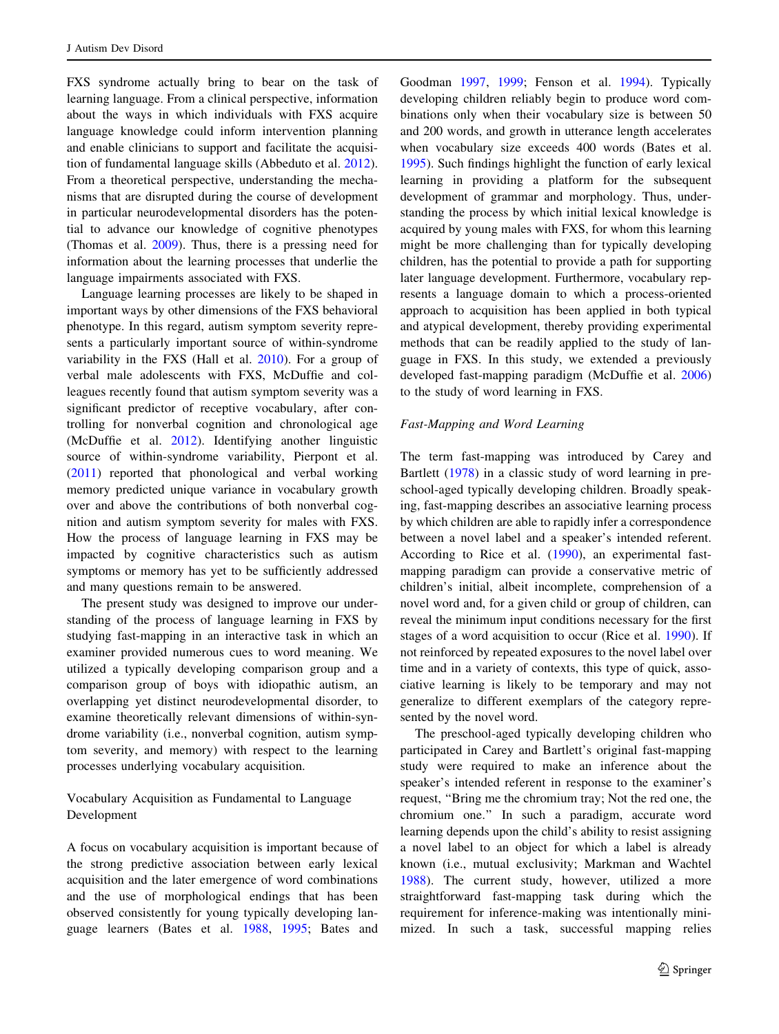FXS syndrome actually bring to bear on the task of learning language. From a clinical perspective, information about the ways in which individuals with FXS acquire language knowledge could inform intervention planning and enable clinicians to support and facilitate the acquisition of fundamental language skills (Abbeduto et al. [2012](#page-13-0)). From a theoretical perspective, understanding the mechanisms that are disrupted during the course of development in particular neurodevelopmental disorders has the potential to advance our knowledge of cognitive phenotypes (Thomas et al. [2009](#page-15-0)). Thus, there is a pressing need for information about the learning processes that underlie the language impairments associated with FXS.

Language learning processes are likely to be shaped in important ways by other dimensions of the FXS behavioral phenotype. In this regard, autism symptom severity represents a particularly important source of within-syndrome variability in the FXS (Hall et al. [2010\)](#page-14-0). For a group of verbal male adolescents with FXS, McDuffie and colleagues recently found that autism symptom severity was a significant predictor of receptive vocabulary, after controlling for nonverbal cognition and chronological age (McDuffie et al. [2012\)](#page-15-0). Identifying another linguistic source of within-syndrome variability, Pierpont et al. [\(2011](#page-15-0)) reported that phonological and verbal working memory predicted unique variance in vocabulary growth over and above the contributions of both nonverbal cognition and autism symptom severity for males with FXS. How the process of language learning in FXS may be impacted by cognitive characteristics such as autism symptoms or memory has yet to be sufficiently addressed and many questions remain to be answered.

The present study was designed to improve our understanding of the process of language learning in FXS by studying fast-mapping in an interactive task in which an examiner provided numerous cues to word meaning. We utilized a typically developing comparison group and a comparison group of boys with idiopathic autism, an overlapping yet distinct neurodevelopmental disorder, to examine theoretically relevant dimensions of within-syndrome variability (i.e., nonverbal cognition, autism symptom severity, and memory) with respect to the learning processes underlying vocabulary acquisition.

# Vocabulary Acquisition as Fundamental to Language Development

A focus on vocabulary acquisition is important because of the strong predictive association between early lexical acquisition and the later emergence of word combinations and the use of morphological endings that has been observed consistently for young typically developing language learners (Bates et al. [1988](#page-14-0), [1995](#page-14-0); Bates and Goodman [1997,](#page-14-0) [1999](#page-14-0); Fenson et al. [1994\)](#page-14-0). Typically developing children reliably begin to produce word combinations only when their vocabulary size is between 50 and 200 words, and growth in utterance length accelerates when vocabulary size exceeds 400 words (Bates et al. [1995](#page-14-0)). Such findings highlight the function of early lexical learning in providing a platform for the subsequent development of grammar and morphology. Thus, understanding the process by which initial lexical knowledge is acquired by young males with FXS, for whom this learning might be more challenging than for typically developing children, has the potential to provide a path for supporting later language development. Furthermore, vocabulary represents a language domain to which a process-oriented approach to acquisition has been applied in both typical and atypical development, thereby providing experimental methods that can be readily applied to the study of language in FXS. In this study, we extended a previously developed fast-mapping paradigm (McDuffie et al. [2006\)](#page-15-0) to the study of word learning in FXS.

### Fast-Mapping and Word Learning

The term fast-mapping was introduced by Carey and Bartlett [\(1978](#page-14-0)) in a classic study of word learning in preschool-aged typically developing children. Broadly speaking, fast-mapping describes an associative learning process by which children are able to rapidly infer a correspondence between a novel label and a speaker's intended referent. According to Rice et al. [\(1990](#page-15-0)), an experimental fastmapping paradigm can provide a conservative metric of children's initial, albeit incomplete, comprehension of a novel word and, for a given child or group of children, can reveal the minimum input conditions necessary for the first stages of a word acquisition to occur (Rice et al. [1990\)](#page-15-0). If not reinforced by repeated exposures to the novel label over time and in a variety of contexts, this type of quick, associative learning is likely to be temporary and may not generalize to different exemplars of the category represented by the novel word.

The preschool-aged typically developing children who participated in Carey and Bartlett's original fast-mapping study were required to make an inference about the speaker's intended referent in response to the examiner's request, ''Bring me the chromium tray; Not the red one, the chromium one.'' In such a paradigm, accurate word learning depends upon the child's ability to resist assigning a novel label to an object for which a label is already known (i.e., mutual exclusivity; Markman and Wachtel [1988](#page-15-0)). The current study, however, utilized a more straightforward fast-mapping task during which the requirement for inference-making was intentionally minimized. In such a task, successful mapping relies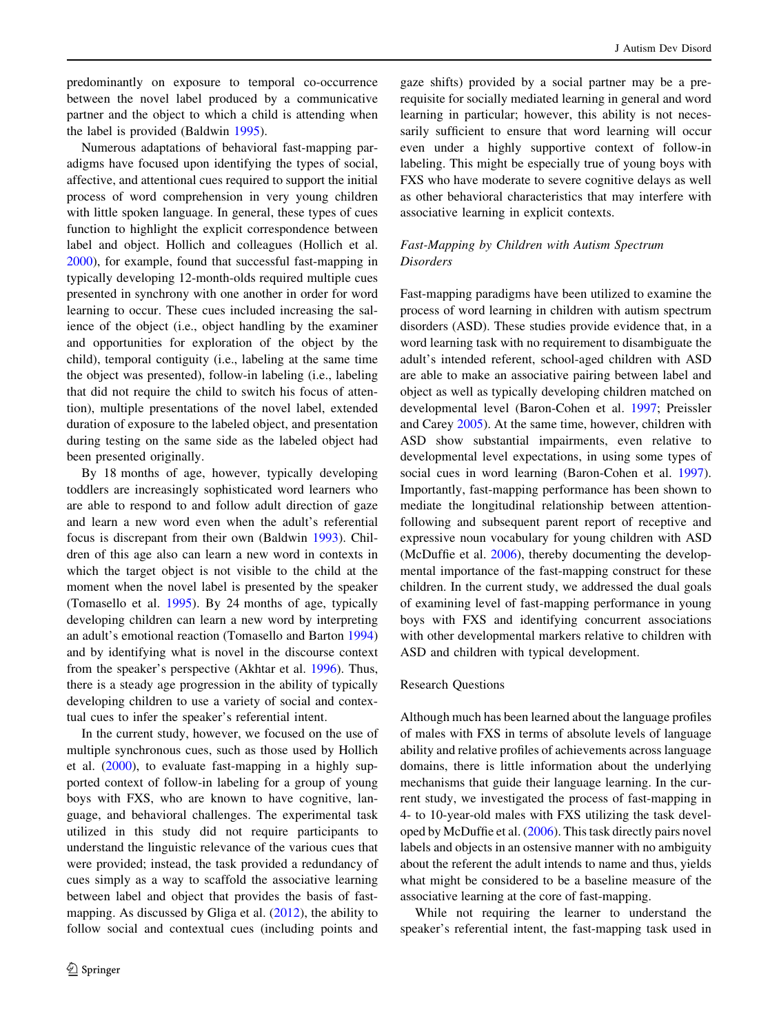predominantly on exposure to temporal co-occurrence between the novel label produced by a communicative partner and the object to which a child is attending when the label is provided (Baldwin [1995\)](#page-14-0).

Numerous adaptations of behavioral fast-mapping paradigms have focused upon identifying the types of social, affective, and attentional cues required to support the initial process of word comprehension in very young children with little spoken language. In general, these types of cues function to highlight the explicit correspondence between label and object. Hollich and colleagues (Hollich et al. [2000\)](#page-14-0), for example, found that successful fast-mapping in typically developing 12-month-olds required multiple cues presented in synchrony with one another in order for word learning to occur. These cues included increasing the salience of the object (i.e., object handling by the examiner and opportunities for exploration of the object by the child), temporal contiguity (i.e., labeling at the same time the object was presented), follow-in labeling (i.e., labeling that did not require the child to switch his focus of attention), multiple presentations of the novel label, extended duration of exposure to the labeled object, and presentation during testing on the same side as the labeled object had been presented originally.

By 18 months of age, however, typically developing toddlers are increasingly sophisticated word learners who are able to respond to and follow adult direction of gaze and learn a new word even when the adult's referential focus is discrepant from their own (Baldwin [1993\)](#page-14-0). Children of this age also can learn a new word in contexts in which the target object is not visible to the child at the moment when the novel label is presented by the speaker (Tomasello et al. [1995\)](#page-15-0). By 24 months of age, typically developing children can learn a new word by interpreting an adult's emotional reaction (Tomasello and Barton [1994\)](#page-15-0) and by identifying what is novel in the discourse context from the speaker's perspective (Akhtar et al. [1996](#page-13-0)). Thus, there is a steady age progression in the ability of typically developing children to use a variety of social and contextual cues to infer the speaker's referential intent.

In the current study, however, we focused on the use of multiple synchronous cues, such as those used by Hollich et al. ([2000\)](#page-14-0), to evaluate fast-mapping in a highly supported context of follow-in labeling for a group of young boys with FXS, who are known to have cognitive, language, and behavioral challenges. The experimental task utilized in this study did not require participants to understand the linguistic relevance of the various cues that were provided; instead, the task provided a redundancy of cues simply as a way to scaffold the associative learning between label and object that provides the basis of fastmapping. As discussed by Gliga et al. [\(2012](#page-14-0)), the ability to follow social and contextual cues (including points and gaze shifts) provided by a social partner may be a prerequisite for socially mediated learning in general and word learning in particular; however, this ability is not necessarily sufficient to ensure that word learning will occur even under a highly supportive context of follow-in labeling. This might be especially true of young boys with FXS who have moderate to severe cognitive delays as well as other behavioral characteristics that may interfere with associative learning in explicit contexts.

# Fast-Mapping by Children with Autism Spectrum Disorders

Fast-mapping paradigms have been utilized to examine the process of word learning in children with autism spectrum disorders (ASD). These studies provide evidence that, in a word learning task with no requirement to disambiguate the adult's intended referent, school-aged children with ASD are able to make an associative pairing between label and object as well as typically developing children matched on developmental level (Baron-Cohen et al. [1997](#page-14-0); Preissler and Carey [2005\)](#page-15-0). At the same time, however, children with ASD show substantial impairments, even relative to developmental level expectations, in using some types of social cues in word learning (Baron-Cohen et al. [1997](#page-14-0)). Importantly, fast-mapping performance has been shown to mediate the longitudinal relationship between attentionfollowing and subsequent parent report of receptive and expressive noun vocabulary for young children with ASD (McDuffie et al. [2006](#page-15-0)), thereby documenting the developmental importance of the fast-mapping construct for these children. In the current study, we addressed the dual goals of examining level of fast-mapping performance in young boys with FXS and identifying concurrent associations with other developmental markers relative to children with ASD and children with typical development.

### Research Questions

Although much has been learned about the language profiles of males with FXS in terms of absolute levels of language ability and relative profiles of achievements across language domains, there is little information about the underlying mechanisms that guide their language learning. In the current study, we investigated the process of fast-mapping in 4- to 10-year-old males with FXS utilizing the task developed by McDuffie et al. [\(2006](#page-15-0)). This task directly pairs novel labels and objects in an ostensive manner with no ambiguity about the referent the adult intends to name and thus, yields what might be considered to be a baseline measure of the associative learning at the core of fast-mapping.

While not requiring the learner to understand the speaker's referential intent, the fast-mapping task used in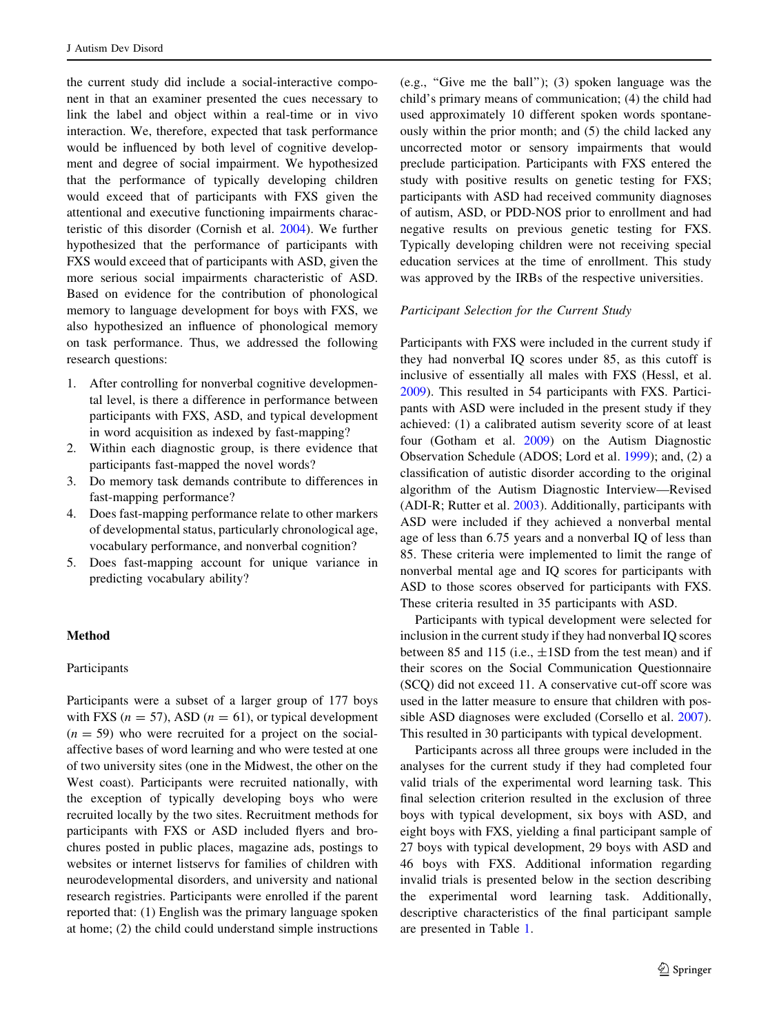the current study did include a social-interactive component in that an examiner presented the cues necessary to link the label and object within a real-time or in vivo interaction. We, therefore, expected that task performance would be influenced by both level of cognitive development and degree of social impairment. We hypothesized that the performance of typically developing children would exceed that of participants with FXS given the attentional and executive functioning impairments characteristic of this disorder (Cornish et al. [2004](#page-14-0)). We further hypothesized that the performance of participants with FXS would exceed that of participants with ASD, given the more serious social impairments characteristic of ASD. Based on evidence for the contribution of phonological memory to language development for boys with FXS, we also hypothesized an influence of phonological memory on task performance. Thus, we addressed the following research questions:

- 1. After controlling for nonverbal cognitive developmental level, is there a difference in performance between participants with FXS, ASD, and typical development in word acquisition as indexed by fast-mapping?
- 2. Within each diagnostic group, is there evidence that participants fast-mapped the novel words?
- 3. Do memory task demands contribute to differences in fast-mapping performance?
- 4. Does fast-mapping performance relate to other markers of developmental status, particularly chronological age, vocabulary performance, and nonverbal cognition?
- 5. Does fast-mapping account for unique variance in predicting vocabulary ability?

# Method

### Participants

Participants were a subset of a larger group of 177 boys with FXS ( $n = 57$ ), ASD ( $n = 61$ ), or typical development  $(n = 59)$  who were recruited for a project on the socialaffective bases of word learning and who were tested at one of two university sites (one in the Midwest, the other on the West coast). Participants were recruited nationally, with the exception of typically developing boys who were recruited locally by the two sites. Recruitment methods for participants with FXS or ASD included flyers and brochures posted in public places, magazine ads, postings to websites or internet listservs for families of children with neurodevelopmental disorders, and university and national research registries. Participants were enrolled if the parent reported that: (1) English was the primary language spoken at home; (2) the child could understand simple instructions (e.g., ''Give me the ball''); (3) spoken language was the child's primary means of communication; (4) the child had used approximately 10 different spoken words spontaneously within the prior month; and (5) the child lacked any uncorrected motor or sensory impairments that would preclude participation. Participants with FXS entered the study with positive results on genetic testing for FXS; participants with ASD had received community diagnoses of autism, ASD, or PDD-NOS prior to enrollment and had negative results on previous genetic testing for FXS. Typically developing children were not receiving special education services at the time of enrollment. This study was approved by the IRBs of the respective universities.

### Participant Selection for the Current Study

Participants with FXS were included in the current study if they had nonverbal IQ scores under 85, as this cutoff is inclusive of essentially all males with FXS (Hessl, et al. [2009](#page-14-0)). This resulted in 54 participants with FXS. Participants with ASD were included in the present study if they achieved: (1) a calibrated autism severity score of at least four (Gotham et al. [2009\)](#page-14-0) on the Autism Diagnostic Observation Schedule (ADOS; Lord et al. [1999](#page-14-0)); and, (2) a classification of autistic disorder according to the original algorithm of the Autism Diagnostic Interview—Revised (ADI-R; Rutter et al. [2003\)](#page-15-0). Additionally, participants with ASD were included if they achieved a nonverbal mental age of less than 6.75 years and a nonverbal IQ of less than 85. These criteria were implemented to limit the range of nonverbal mental age and IQ scores for participants with ASD to those scores observed for participants with FXS. These criteria resulted in 35 participants with ASD.

Participants with typical development were selected for inclusion in the current study if they had nonverbal IQ scores between 85 and 115 (i.e.,  $\pm$ 1SD from the test mean) and if their scores on the Social Communication Questionnaire (SCQ) did not exceed 11. A conservative cut-off score was used in the latter measure to ensure that children with possible ASD diagnoses were excluded (Corsello et al. [2007](#page-14-0)). This resulted in 30 participants with typical development.

Participants across all three groups were included in the analyses for the current study if they had completed four valid trials of the experimental word learning task. This final selection criterion resulted in the exclusion of three boys with typical development, six boys with ASD, and eight boys with FXS, yielding a final participant sample of 27 boys with typical development, 29 boys with ASD and 46 boys with FXS. Additional information regarding invalid trials is presented below in the section describing the experimental word learning task. Additionally, descriptive characteristics of the final participant sample are presented in Table [1.](#page-5-0)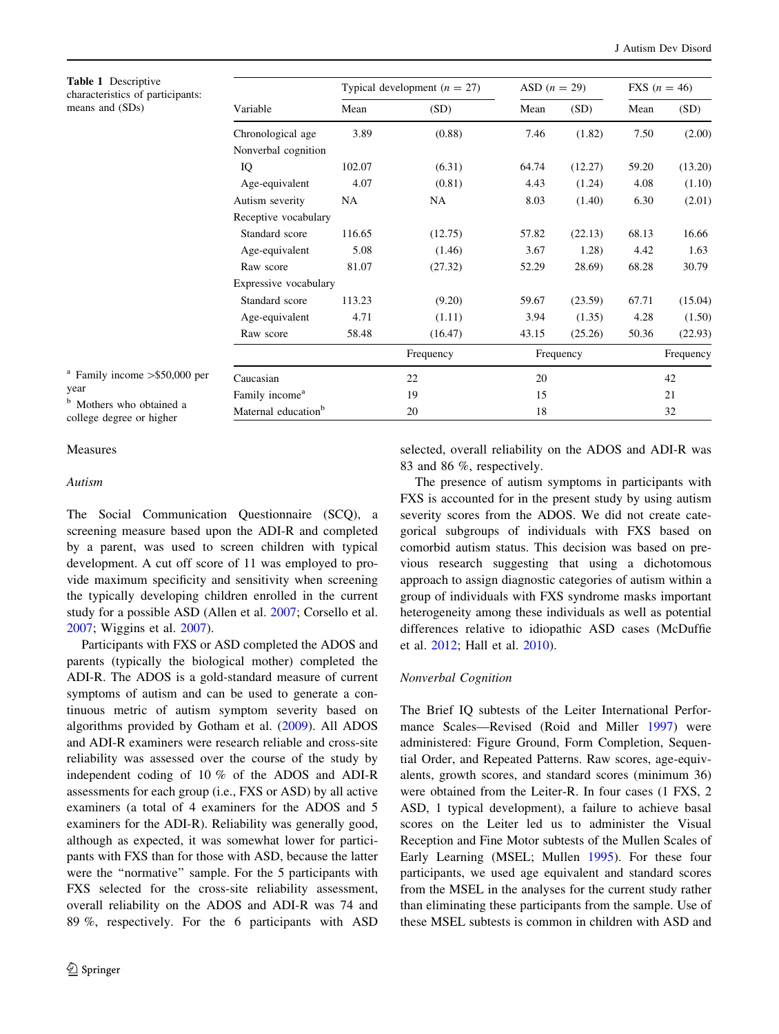<span id="page-5-0"></span>

|                 | <b>Table 1</b> Descriptive       |
|-----------------|----------------------------------|
|                 | characteristics of participants: |
| means and (SDs) |                                  |

| Variable                        |        | Typical development $(n = 27)$ |       | ASD $(n = 29)$ |       | FXS $(n = 46)$ |  |
|---------------------------------|--------|--------------------------------|-------|----------------|-------|----------------|--|
|                                 | Mean   | (SD)                           | Mean  | (SD)           | Mean  | (SD)           |  |
| Chronological age               | 3.89   | (0.88)                         | 7.46  | (1.82)         | 7.50  | (2.00)         |  |
| Nonverbal cognition             |        |                                |       |                |       |                |  |
| IQ                              | 102.07 | (6.31)                         | 64.74 | (12.27)        | 59.20 | (13.20)        |  |
| Age-equivalent                  | 4.07   | (0.81)                         | 4.43  | (1.24)         | 4.08  | (1.10)         |  |
| Autism severity                 | NA     | <b>NA</b>                      | 8.03  | (1.40)         | 6.30  | (2.01)         |  |
| Receptive vocabulary            |        |                                |       |                |       |                |  |
| Standard score                  | 116.65 | (12.75)                        | 57.82 | (22.13)        | 68.13 | 16.66          |  |
| Age-equivalent                  | 5.08   | (1.46)                         | 3.67  | 1.28)          | 4.42  | 1.63           |  |
| Raw score                       | 81.07  | (27.32)                        | 52.29 | 28.69)         | 68.28 | 30.79          |  |
| Expressive vocabulary           |        |                                |       |                |       |                |  |
| Standard score                  | 113.23 | (9.20)                         | 59.67 | (23.59)        | 67.71 | (15.04)        |  |
| Age-equivalent                  | 4.71   | (1.11)                         | 3.94  | (1.35)         | 4.28  | (1.50)         |  |
| Raw score                       | 58.48  | (16.47)                        | 43.15 | (25.26)        | 50.36 | (22.93)        |  |
|                                 |        | Frequency                      |       | Frequency      |       | Frequency      |  |
| Caucasian                       |        | 22                             | 20    |                |       | 42             |  |
| Family income <sup>a</sup>      |        | 19                             | 15    |                |       | 21             |  |
| Maternal education <sup>b</sup> |        | 20                             | 18    |                |       | 32             |  |

 $a$  Family income  $>\$ 50,000 per year

<sup>b</sup> Mothers who obtained a college degree or higher

#### Measures

#### Autism

The Social Communication Questionnaire (SCQ), a screening measure based upon the ADI-R and completed by a parent, was used to screen children with typical development. A cut off score of 11 was employed to provide maximum specificity and sensitivity when screening the typically developing children enrolled in the current study for a possible ASD (Allen et al. [2007;](#page-14-0) Corsello et al. [2007;](#page-14-0) Wiggins et al. [2007](#page-15-0)).

Participants with FXS or ASD completed the ADOS and parents (typically the biological mother) completed the ADI-R. The ADOS is a gold-standard measure of current symptoms of autism and can be used to generate a continuous metric of autism symptom severity based on algorithms provided by Gotham et al. ([2009\)](#page-14-0). All ADOS and ADI-R examiners were research reliable and cross-site reliability was assessed over the course of the study by independent coding of 10 % of the ADOS and ADI-R assessments for each group (i.e., FXS or ASD) by all active examiners (a total of 4 examiners for the ADOS and 5 examiners for the ADI-R). Reliability was generally good, although as expected, it was somewhat lower for participants with FXS than for those with ASD, because the latter were the "normative" sample. For the 5 participants with FXS selected for the cross-site reliability assessment, overall reliability on the ADOS and ADI-R was 74 and 89 %, respectively. For the 6 participants with ASD

selected, overall reliability on the ADOS and ADI-R was 83 and 86 %, respectively.

The presence of autism symptoms in participants with FXS is accounted for in the present study by using autism severity scores from the ADOS. We did not create categorical subgroups of individuals with FXS based on comorbid autism status. This decision was based on previous research suggesting that using a dichotomous approach to assign diagnostic categories of autism within a group of individuals with FXS syndrome masks important heterogeneity among these individuals as well as potential differences relative to idiopathic ASD cases (McDuffie et al. [2012;](#page-15-0) Hall et al. [2010](#page-14-0)).

### Nonverbal Cognition

The Brief IQ subtests of the Leiter International Performance Scales—Revised (Roid and Miller [1997\)](#page-15-0) were administered: Figure Ground, Form Completion, Sequential Order, and Repeated Patterns. Raw scores, age-equivalents, growth scores, and standard scores (minimum 36) were obtained from the Leiter-R. In four cases (1 FXS, 2 ASD, 1 typical development), a failure to achieve basal scores on the Leiter led us to administer the Visual Reception and Fine Motor subtests of the Mullen Scales of Early Learning (MSEL; Mullen [1995\)](#page-15-0). For these four participants, we used age equivalent and standard scores from the MSEL in the analyses for the current study rather than eliminating these participants from the sample. Use of these MSEL subtests is common in children with ASD and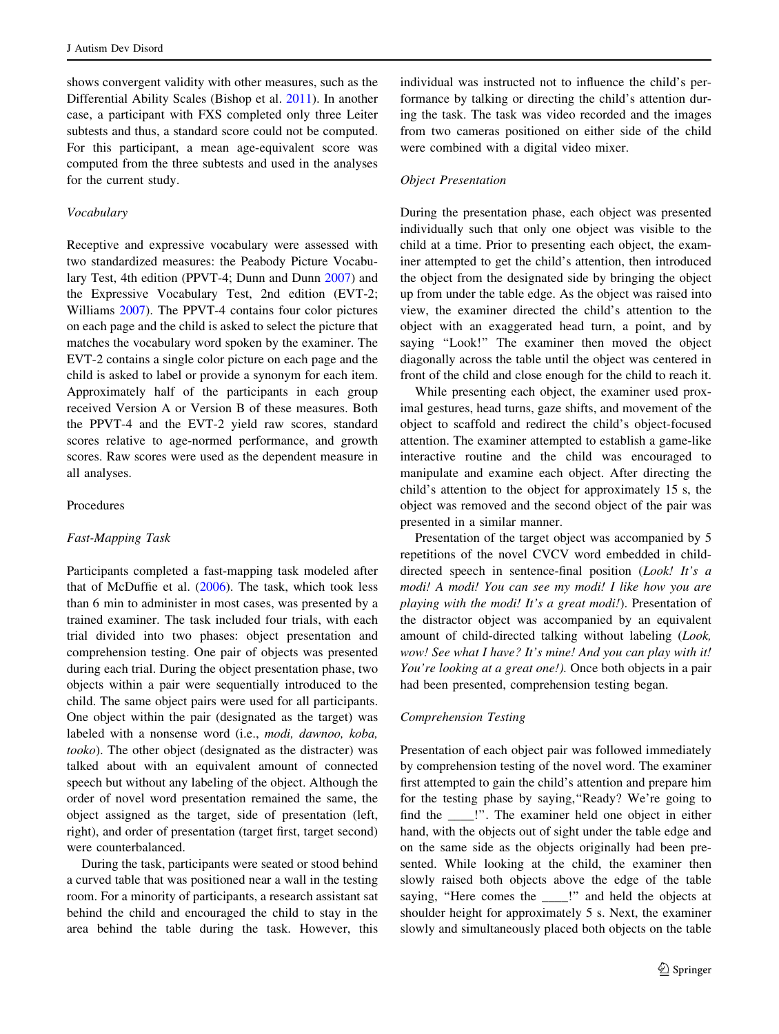shows convergent validity with other measures, such as the Differential Ability Scales (Bishop et al. [2011\)](#page-14-0). In another case, a participant with FXS completed only three Leiter subtests and thus, a standard score could not be computed. For this participant, a mean age-equivalent score was computed from the three subtests and used in the analyses for the current study.

### Vocabulary

Receptive and expressive vocabulary were assessed with two standardized measures: the Peabody Picture Vocabulary Test, 4th edition (PPVT-4; Dunn and Dunn [2007](#page-14-0)) and the Expressive Vocabulary Test, 2nd edition (EVT-2; Williams [2007](#page-15-0)). The PPVT-4 contains four color pictures on each page and the child is asked to select the picture that matches the vocabulary word spoken by the examiner. The EVT-2 contains a single color picture on each page and the child is asked to label or provide a synonym for each item. Approximately half of the participants in each group received Version A or Version B of these measures. Both the PPVT-4 and the EVT-2 yield raw scores, standard scores relative to age-normed performance, and growth scores. Raw scores were used as the dependent measure in all analyses.

# Procedures

# Fast-Mapping Task

Participants completed a fast-mapping task modeled after that of McDuffie et al. ([2006\)](#page-15-0). The task, which took less than 6 min to administer in most cases, was presented by a trained examiner. The task included four trials, with each trial divided into two phases: object presentation and comprehension testing. One pair of objects was presented during each trial. During the object presentation phase, two objects within a pair were sequentially introduced to the child. The same object pairs were used for all participants. One object within the pair (designated as the target) was labeled with a nonsense word (i.e., modi, dawnoo, koba, tooko). The other object (designated as the distracter) was talked about with an equivalent amount of connected speech but without any labeling of the object. Although the order of novel word presentation remained the same, the object assigned as the target, side of presentation (left, right), and order of presentation (target first, target second) were counterbalanced.

During the task, participants were seated or stood behind a curved table that was positioned near a wall in the testing room. For a minority of participants, a research assistant sat behind the child and encouraged the child to stay in the area behind the table during the task. However, this individual was instructed not to influence the child's performance by talking or directing the child's attention during the task. The task was video recorded and the images from two cameras positioned on either side of the child were combined with a digital video mixer.

# Object Presentation

During the presentation phase, each object was presented individually such that only one object was visible to the child at a time. Prior to presenting each object, the examiner attempted to get the child's attention, then introduced the object from the designated side by bringing the object up from under the table edge. As the object was raised into view, the examiner directed the child's attention to the object with an exaggerated head turn, a point, and by saying "Look!" The examiner then moved the object diagonally across the table until the object was centered in front of the child and close enough for the child to reach it.

While presenting each object, the examiner used proximal gestures, head turns, gaze shifts, and movement of the object to scaffold and redirect the child's object-focused attention. The examiner attempted to establish a game-like interactive routine and the child was encouraged to manipulate and examine each object. After directing the child's attention to the object for approximately 15 s, the object was removed and the second object of the pair was presented in a similar manner.

Presentation of the target object was accompanied by 5 repetitions of the novel CVCV word embedded in childdirected speech in sentence-final position (Look! It's a modi! A modi! You can see my modi! I like how you are playing with the modi! It's a great modi!). Presentation of the distractor object was accompanied by an equivalent amount of child-directed talking without labeling (Look, wow! See what I have? It's mine! And you can play with it! You're looking at a great one!). Once both objects in a pair had been presented, comprehension testing began.

# Comprehension Testing

Presentation of each object pair was followed immediately by comprehension testing of the novel word. The examiner first attempted to gain the child's attention and prepare him for the testing phase by saying,''Ready? We're going to find the  $\cdots$  !". The examiner held one object in either hand, with the objects out of sight under the table edge and on the same side as the objects originally had been presented. While looking at the child, the examiner then slowly raised both objects above the edge of the table saying, "Here comes the \_\_\_\_!" and held the objects at shoulder height for approximately 5 s. Next, the examiner slowly and simultaneously placed both objects on the table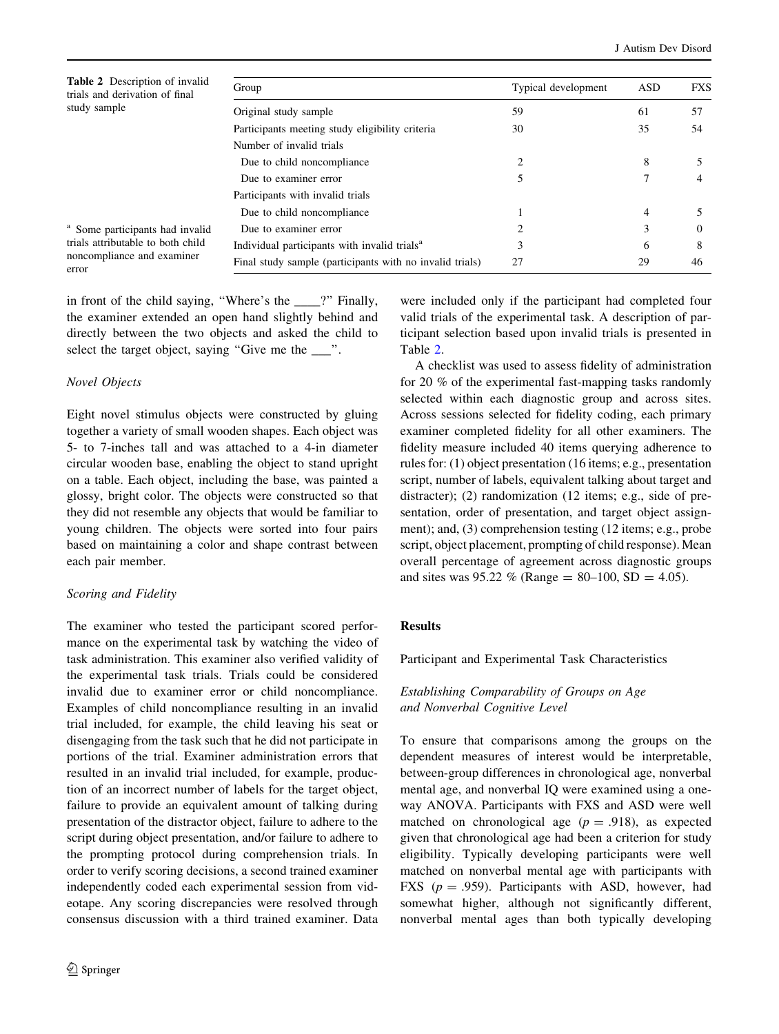| <b>Table 2</b> Description of invalid<br>trials and derivation of final                                                | Group                                                    | Typical development | ASD | <b>FXS</b> |
|------------------------------------------------------------------------------------------------------------------------|----------------------------------------------------------|---------------------|-----|------------|
| study sample                                                                                                           | Original study sample                                    | 59                  | 61  | 57         |
|                                                                                                                        | Participants meeting study eligibility criteria          | 30                  | 35  | 54         |
|                                                                                                                        | Number of invalid trials                                 |                     |     |            |
|                                                                                                                        | Due to child noncompliance                               | $\overline{2}$      | 8   |            |
|                                                                                                                        | Due to examiner error                                    | 5                   |     |            |
|                                                                                                                        | Participants with invalid trials                         |                     |     |            |
|                                                                                                                        | Due to child noncompliance                               |                     | 4   |            |
| <sup>a</sup> Some participants had invalid<br>trials attributable to both child<br>noncompliance and examiner<br>error | Due to examiner error                                    | $\overline{2}$      | 3   | 0          |
|                                                                                                                        | Individual participants with invalid trials <sup>a</sup> | 3                   | 6   | 8          |
|                                                                                                                        | Final study sample (participants with no invalid trials) | 27                  | 29  | 46         |

in front of the child saying, ''Where's the \_\_\_\_?'' Finally, the examiner extended an open hand slightly behind and directly between the two objects and asked the child to select the target object, saying ''Give me the \_\_\_''.

### Novel Objects

Eight novel stimulus objects were constructed by gluing together a variety of small wooden shapes. Each object was 5- to 7-inches tall and was attached to a 4-in diameter circular wooden base, enabling the object to stand upright on a table. Each object, including the base, was painted a glossy, bright color. The objects were constructed so that they did not resemble any objects that would be familiar to young children. The objects were sorted into four pairs based on maintaining a color and shape contrast between each pair member.

### Scoring and Fidelity

The examiner who tested the participant scored performance on the experimental task by watching the video of task administration. This examiner also verified validity of the experimental task trials. Trials could be considered invalid due to examiner error or child noncompliance. Examples of child noncompliance resulting in an invalid trial included, for example, the child leaving his seat or disengaging from the task such that he did not participate in portions of the trial. Examiner administration errors that resulted in an invalid trial included, for example, production of an incorrect number of labels for the target object, failure to provide an equivalent amount of talking during presentation of the distractor object, failure to adhere to the script during object presentation, and/or failure to adhere to the prompting protocol during comprehension trials. In order to verify scoring decisions, a second trained examiner independently coded each experimental session from videotape. Any scoring discrepancies were resolved through consensus discussion with a third trained examiner. Data were included only if the participant had completed four valid trials of the experimental task. A description of participant selection based upon invalid trials is presented in Table 2.

A checklist was used to assess fidelity of administration for 20 % of the experimental fast-mapping tasks randomly selected within each diagnostic group and across sites. Across sessions selected for fidelity coding, each primary examiner completed fidelity for all other examiners. The fidelity measure included 40 items querying adherence to rules for: (1) object presentation (16 items; e.g., presentation script, number of labels, equivalent talking about target and distracter); (2) randomization (12 items; e.g., side of presentation, order of presentation, and target object assignment); and, (3) comprehension testing (12 items; e.g., probe script, object placement, prompting of child response). Mean overall percentage of agreement across diagnostic groups and sites was 95.22 % (Range = 80–100, SD = 4.05).

### Results

Participant and Experimental Task Characteristics

# Establishing Comparability of Groups on Age and Nonverbal Cognitive Level

To ensure that comparisons among the groups on the dependent measures of interest would be interpretable, between-group differences in chronological age, nonverbal mental age, and nonverbal IQ were examined using a oneway ANOVA. Participants with FXS and ASD were well matched on chronological age  $(p = .918)$ , as expected given that chronological age had been a criterion for study eligibility. Typically developing participants were well matched on nonverbal mental age with participants with FXS ( $p = .959$ ). Participants with ASD, however, had somewhat higher, although not significantly different, nonverbal mental ages than both typically developing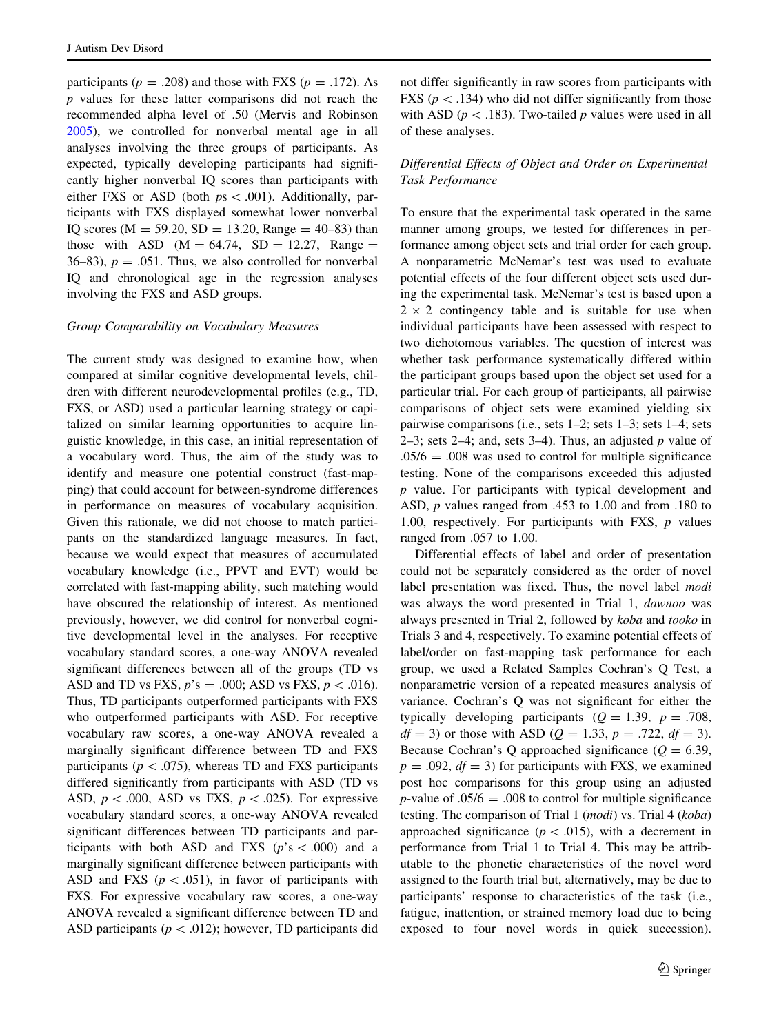participants ( $p = .208$ ) and those with FXS ( $p = .172$ ). As p values for these latter comparisons did not reach the recommended alpha level of .50 (Mervis and Robinson [2005\)](#page-15-0), we controlled for nonverbal mental age in all analyses involving the three groups of participants. As expected, typically developing participants had significantly higher nonverbal IQ scores than participants with either FXS or ASD (both  $ps < .001$ ). Additionally, participants with FXS displayed somewhat lower nonverbal IQ scores ( $M = 59.20$ ,  $SD = 13.20$ , Range = 40–83) than those with ASD  $(M = 64.74, SD = 12.27, Range =$ 36–83),  $p = .051$ . Thus, we also controlled for nonverbal IQ and chronological age in the regression analyses involving the FXS and ASD groups.

### Group Comparability on Vocabulary Measures

The current study was designed to examine how, when compared at similar cognitive developmental levels, children with different neurodevelopmental profiles (e.g., TD, FXS, or ASD) used a particular learning strategy or capitalized on similar learning opportunities to acquire linguistic knowledge, in this case, an initial representation of a vocabulary word. Thus, the aim of the study was to identify and measure one potential construct (fast-mapping) that could account for between-syndrome differences in performance on measures of vocabulary acquisition. Given this rationale, we did not choose to match participants on the standardized language measures. In fact, because we would expect that measures of accumulated vocabulary knowledge (i.e., PPVT and EVT) would be correlated with fast-mapping ability, such matching would have obscured the relationship of interest. As mentioned previously, however, we did control for nonverbal cognitive developmental level in the analyses. For receptive vocabulary standard scores, a one-way ANOVA revealed significant differences between all of the groups (TD vs ASD and TD vs FXS,  $p$ 's = .000; ASD vs FXS,  $p < .016$ ). Thus, TD participants outperformed participants with FXS who outperformed participants with ASD. For receptive vocabulary raw scores, a one-way ANOVA revealed a marginally significant difference between TD and FXS participants ( $p < .075$ ), whereas TD and FXS participants differed significantly from participants with ASD (TD vs ASD,  $p < .000$ , ASD vs FXS,  $p < .025$ ). For expressive vocabulary standard scores, a one-way ANOVA revealed significant differences between TD participants and participants with both ASD and FXS ( $p$ 's < .000) and a marginally significant difference between participants with ASD and FXS ( $p \lt 0.051$ ), in favor of participants with FXS. For expressive vocabulary raw scores, a one-way ANOVA revealed a significant difference between TD and ASD participants ( $p \lt .012$ ); however, TD participants did

# Differential Effects of Object and Order on Experimental Task Performance

To ensure that the experimental task operated in the same manner among groups, we tested for differences in performance among object sets and trial order for each group. A nonparametric McNemar's test was used to evaluate potential effects of the four different object sets used during the experimental task. McNemar's test is based upon a  $2 \times 2$  contingency table and is suitable for use when individual participants have been assessed with respect to two dichotomous variables. The question of interest was whether task performance systematically differed within the participant groups based upon the object set used for a particular trial. For each group of participants, all pairwise comparisons of object sets were examined yielding six pairwise comparisons (i.e., sets 1–2; sets 1–3; sets 1–4; sets 2–3; sets 2–4; and, sets 3–4). Thus, an adjusted  $p$  value of  $.05/6 = .008$  was used to control for multiple significance testing. None of the comparisons exceeded this adjusted  $p$  value. For participants with typical development and ASD, p values ranged from .453 to 1.00 and from .180 to 1.00, respectively. For participants with FXS, p values ranged from .057 to 1.00.

Differential effects of label and order of presentation could not be separately considered as the order of novel label presentation was fixed. Thus, the novel label modi was always the word presented in Trial 1, dawnoo was always presented in Trial 2, followed by koba and tooko in Trials 3 and 4, respectively. To examine potential effects of label/order on fast-mapping task performance for each group, we used a Related Samples Cochran's Q Test, a nonparametric version of a repeated measures analysis of variance. Cochran's Q was not significant for either the typically developing participants ( $Q = 1.39$ ,  $p = .708$ ,  $df = 3$ ) or those with ASD ( $Q = 1.33$ ,  $p = .722$ ,  $df = 3$ ). Because Cochran's Q approached significance ( $Q = 6.39$ ,  $p = .092$ ,  $df = 3$ ) for participants with FXS, we examined post hoc comparisons for this group using an adjusted  $p$ -value of  $.05/6 = .008$  to control for multiple significance testing. The comparison of Trial 1 (modi) vs. Trial 4 (koba) approached significance ( $p \lt .015$ ), with a decrement in performance from Trial 1 to Trial 4. This may be attributable to the phonetic characteristics of the novel word assigned to the fourth trial but, alternatively, may be due to participants' response to characteristics of the task (i.e., fatigue, inattention, or strained memory load due to being exposed to four novel words in quick succession).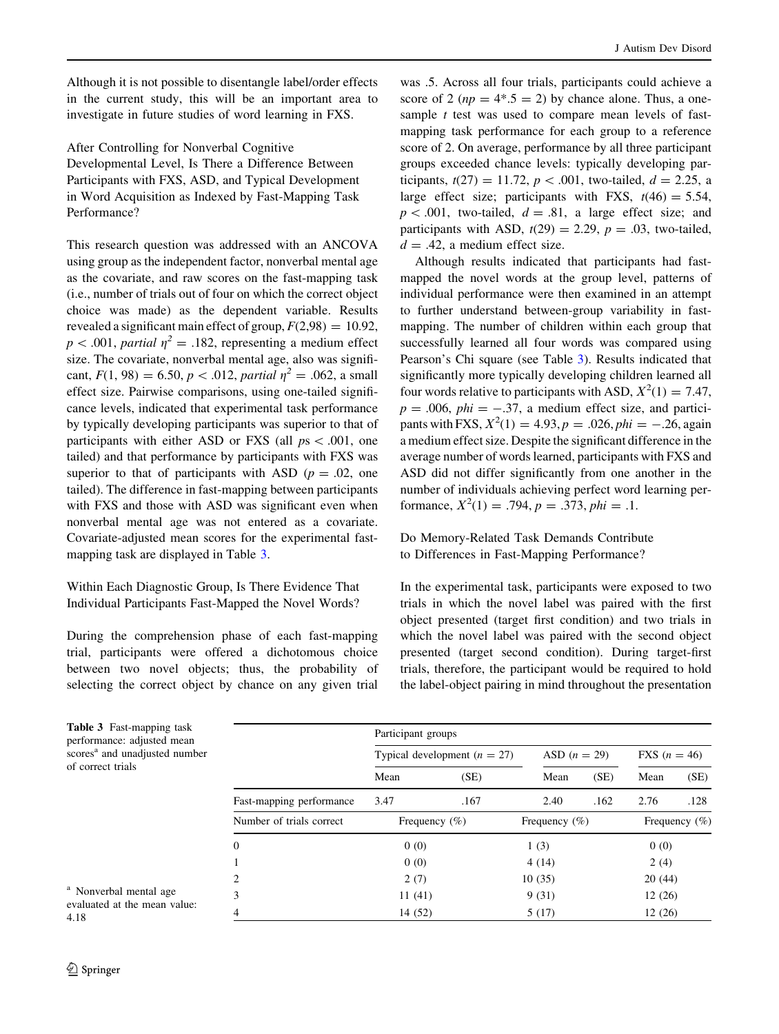Although it is not possible to disentangle label/order effects in the current study, this will be an important area to investigate in future studies of word learning in FXS.

After Controlling for Nonverbal Cognitive Developmental Level, Is There a Difference Between Participants with FXS, ASD, and Typical Development in Word Acquisition as Indexed by Fast-Mapping Task Performance?

This research question was addressed with an ANCOVA using group as the independent factor, nonverbal mental age as the covariate, and raw scores on the fast-mapping task (i.e., number of trials out of four on which the correct object choice was made) as the dependent variable. Results revealed a significant main effect of group,  $F(2,98) = 10.92$ ,  $p$  < .001, partial  $\eta^2 = .182$ , representing a medium effect size. The covariate, nonverbal mental age, also was significant,  $F(1, 98) = 6.50, p < .012$ , partial  $\eta^2 = .062$ , a small effect size. Pairwise comparisons, using one-tailed significance levels, indicated that experimental task performance by typically developing participants was superior to that of participants with either ASD or FXS (all  $ps\lt 0.001$ , one tailed) and that performance by participants with FXS was superior to that of participants with ASD ( $p = .02$ , one tailed). The difference in fast-mapping between participants with FXS and those with ASD was significant even when nonverbal mental age was not entered as a covariate. Covariate-adjusted mean scores for the experimental fastmapping task are displayed in Table 3.

Within Each Diagnostic Group, Is There Evidence That Individual Participants Fast-Mapped the Novel Words?

During the comprehension phase of each fast-mapping trial, participants were offered a dichotomous choice between two novel objects; thus, the probability of selecting the correct object by chance on any given trial

was .5. Across all four trials, participants could achieve a score of 2 ( $np = 4*.5 = 2$ ) by chance alone. Thus, a onesample *t* test was used to compare mean levels of fastmapping task performance for each group to a reference score of 2. On average, performance by all three participant groups exceeded chance levels: typically developing participants,  $t(27) = 11.72$ ,  $p < .001$ , two-tailed,  $d = 2.25$ , a large effect size; participants with FXS,  $t(46) = 5.54$ ,  $p < .001$ , two-tailed,  $d = .81$ , a large effect size; and participants with ASD,  $t(29) = 2.29$ ,  $p = .03$ , two-tailed,  $d = .42$ , a medium effect size.

Although results indicated that participants had fastmapped the novel words at the group level, patterns of individual performance were then examined in an attempt to further understand between-group variability in fastmapping. The number of children within each group that successfully learned all four words was compared using Pearson's Chi square (see Table 3). Results indicated that significantly more typically developing children learned all four words relative to participants with ASD,  $X^2(1) = 7.47$ ,  $p = .006$ ,  $phi = -.37$ , a medium effect size, and participants with FXS,  $X^2(1) = 4.93, p = .026, phi = -.26$ , again a medium effect size. Despite the significant difference in the average number of words learned, participants with FXS and ASD did not differ significantly from one another in the number of individuals achieving perfect word learning performance,  $X^2(1) = .794$ ,  $p = .373$ ,  $phi = .1$ .

Do Memory-Related Task Demands Contribute to Differences in Fast-Mapping Performance?

In the experimental task, participants were exposed to two trials in which the novel label was paired with the first object presented (target first condition) and two trials in which the novel label was paired with the second object presented (target second condition). During target-first trials, therefore, the participant would be required to hold the label-object pairing in mind throughout the presentation

| <b>Table 3</b> Fast-mapping task                                                                                                                                                                                                                                                                                                                                                                                                                                                                           | Participant groups |      |  |  |  |                       |      |
|------------------------------------------------------------------------------------------------------------------------------------------------------------------------------------------------------------------------------------------------------------------------------------------------------------------------------------------------------------------------------------------------------------------------------------------------------------------------------------------------------------|--------------------|------|--|--|--|-----------------------|------|
| performance: adjusted mean<br>scores <sup>a</sup> and unadjusted number<br>Typical development $(n = 27)$<br>ASD $(n = 29)$<br>of correct trials<br>(SE)<br>Mean<br>(SE)<br>Mean<br>.167<br>.162<br>3.47<br>2.40<br>Fast-mapping performance<br>Number of trials correct<br>Frequency $(\% )$<br>Frequency $(\% )$<br>$\Omega$<br>0(0)<br>1(3)<br>0(0)<br>4(14)<br>10(35)<br>2(7)<br><sup>a</sup> Nonverbal mental age<br>3<br>9(31)<br>11(41)<br>evaluated at the mean value:<br>14 (52)<br>5(17)<br>4.18 |                    |      |  |  |  | <b>FXS</b> $(n = 46)$ |      |
|                                                                                                                                                                                                                                                                                                                                                                                                                                                                                                            | Mean               | (SE) |  |  |  |                       |      |
|                                                                                                                                                                                                                                                                                                                                                                                                                                                                                                            |                    |      |  |  |  | 2.76                  | .128 |
|                                                                                                                                                                                                                                                                                                                                                                                                                                                                                                            |                    |      |  |  |  | Frequency $(\%)$      |      |
|                                                                                                                                                                                                                                                                                                                                                                                                                                                                                                            |                    |      |  |  |  | 0(0)                  |      |
|                                                                                                                                                                                                                                                                                                                                                                                                                                                                                                            |                    |      |  |  |  | 2(4)                  |      |
|                                                                                                                                                                                                                                                                                                                                                                                                                                                                                                            |                    |      |  |  |  | 20(44)                |      |
|                                                                                                                                                                                                                                                                                                                                                                                                                                                                                                            |                    |      |  |  |  | 12(26)                |      |
|                                                                                                                                                                                                                                                                                                                                                                                                                                                                                                            |                    |      |  |  |  | 12(26)                |      |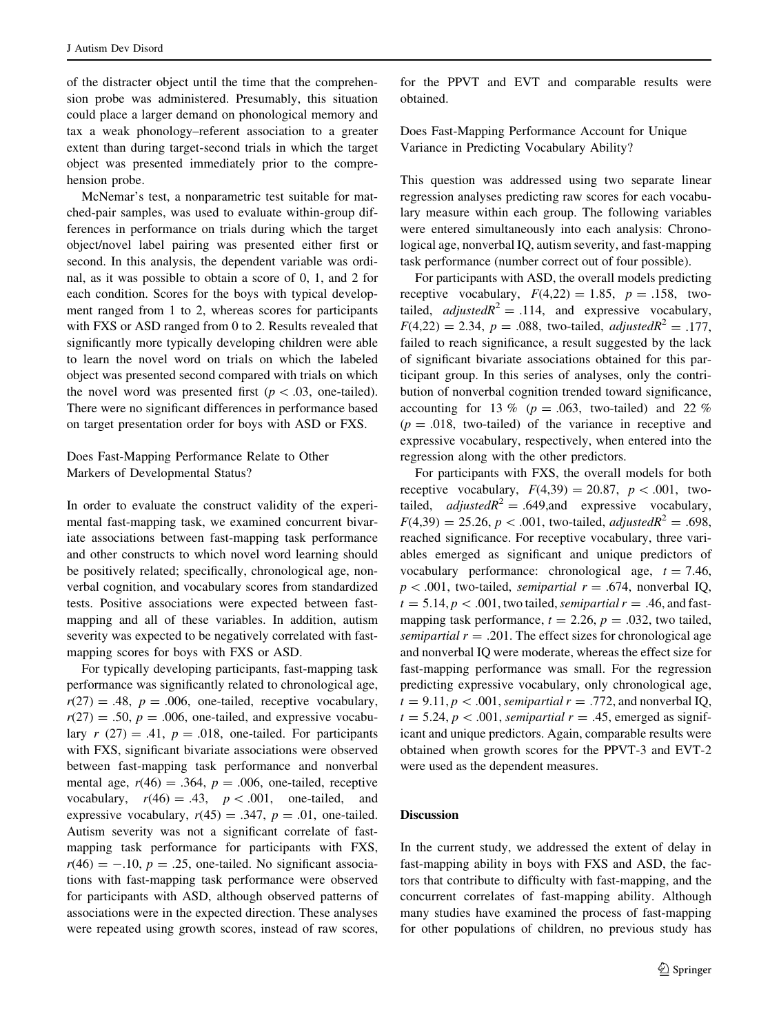of the distracter object until the time that the comprehension probe was administered. Presumably, this situation could place a larger demand on phonological memory and tax a weak phonology–referent association to a greater extent than during target-second trials in which the target object was presented immediately prior to the comprehension probe.

McNemar's test, a nonparametric test suitable for matched-pair samples, was used to evaluate within-group differences in performance on trials during which the target object/novel label pairing was presented either first or second. In this analysis, the dependent variable was ordinal, as it was possible to obtain a score of 0, 1, and 2 for each condition. Scores for the boys with typical development ranged from 1 to 2, whereas scores for participants with FXS or ASD ranged from 0 to 2. Results revealed that significantly more typically developing children were able to learn the novel word on trials on which the labeled object was presented second compared with trials on which the novel word was presented first ( $p < .03$ , one-tailed). There were no significant differences in performance based on target presentation order for boys with ASD or FXS.

# Does Fast-Mapping Performance Relate to Other Markers of Developmental Status?

In order to evaluate the construct validity of the experimental fast-mapping task, we examined concurrent bivariate associations between fast-mapping task performance and other constructs to which novel word learning should be positively related; specifically, chronological age, nonverbal cognition, and vocabulary scores from standardized tests. Positive associations were expected between fastmapping and all of these variables. In addition, autism severity was expected to be negatively correlated with fastmapping scores for boys with FXS or ASD.

For typically developing participants, fast-mapping task performance was significantly related to chronological age,  $r(27) = .48$ ,  $p = .006$ , one-tailed, receptive vocabulary,  $r(27) = .50, p = .006$ , one-tailed, and expressive vocabulary  $r(27) = .41$ ,  $p = .018$ , one-tailed. For participants with FXS, significant bivariate associations were observed between fast-mapping task performance and nonverbal mental age,  $r(46) = .364$ ,  $p = .006$ , one-tailed, receptive vocabulary,  $r(46) = .43$ ,  $p < .001$ , one-tailed, and expressive vocabulary,  $r(45) = .347$ ,  $p = .01$ , one-tailed. Autism severity was not a significant correlate of fastmapping task performance for participants with FXS,  $r(46) = -.10$ ,  $p = .25$ , one-tailed. No significant associations with fast-mapping task performance were observed for participants with ASD, although observed patterns of associations were in the expected direction. These analyses were repeated using growth scores, instead of raw scores, Does Fast-Mapping Performance Account for Unique Variance in Predicting Vocabulary Ability?

This question was addressed using two separate linear regression analyses predicting raw scores for each vocabulary measure within each group. The following variables were entered simultaneously into each analysis: Chronological age, nonverbal IQ, autism severity, and fast-mapping task performance (number correct out of four possible).

For participants with ASD, the overall models predicting receptive vocabulary,  $F(4,22) = 1.85$ ,  $p = .158$ , twotailed, *adjusted* $R^2 = .114$ , and expressive vocabulary,  $F(4,22) = 2.34, p = .088$ , two-tailed, *adjusted* $R^2 = .177$ , failed to reach significance, a result suggested by the lack of significant bivariate associations obtained for this participant group. In this series of analyses, only the contribution of nonverbal cognition trended toward significance, accounting for 13 % ( $p = .063$ , two-tailed) and 22 %  $(p = .018,$  two-tailed) of the variance in receptive and expressive vocabulary, respectively, when entered into the regression along with the other predictors.

For participants with FXS, the overall models for both receptive vocabulary,  $F(4,39) = 20.87$ ,  $p < .001$ , twotailed, *adjusted* $R^2 = .649$ , and expressive vocabulary,  $F(4,39) = 25.26, p < .001$ , two-tailed, *adjustedR*<sup>2</sup> = .698, reached significance. For receptive vocabulary, three variables emerged as significant and unique predictors of vocabulary performance: chronological age,  $t = 7.46$ ,  $p$  < .001, two-tailed, *semipartial*  $r = .674$ , nonverbal IQ,  $t = 5.14, p < .001$ , two tailed, semipartial  $r = .46$ , and fastmapping task performance,  $t = 2.26$ ,  $p = .032$ , two tailed, semipartial  $r = .201$ . The effect sizes for chronological age and nonverbal IQ were moderate, whereas the effect size for fast-mapping performance was small. For the regression predicting expressive vocabulary, only chronological age,  $t = 9.11, p < .001$ , semipartial  $r = .772$ , and nonverbal IQ,  $t = 5.24$ ,  $p < .001$ , semipartial  $r = .45$ , emerged as significant and unique predictors. Again, comparable results were obtained when growth scores for the PPVT-3 and EVT-2 were used as the dependent measures.

### Discussion

In the current study, we addressed the extent of delay in fast-mapping ability in boys with FXS and ASD, the factors that contribute to difficulty with fast-mapping, and the concurrent correlates of fast-mapping ability. Although many studies have examined the process of fast-mapping for other populations of children, no previous study has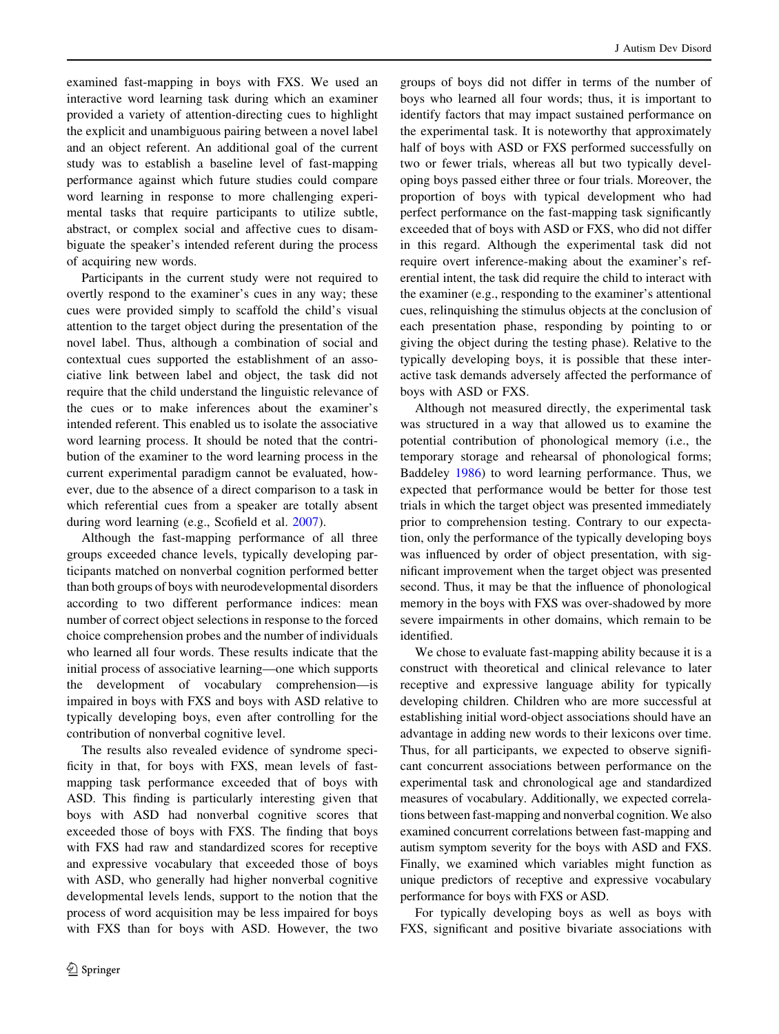examined fast-mapping in boys with FXS. We used an interactive word learning task during which an examiner provided a variety of attention-directing cues to highlight the explicit and unambiguous pairing between a novel label and an object referent. An additional goal of the current study was to establish a baseline level of fast-mapping performance against which future studies could compare word learning in response to more challenging experimental tasks that require participants to utilize subtle, abstract, or complex social and affective cues to disambiguate the speaker's intended referent during the process of acquiring new words.

Participants in the current study were not required to overtly respond to the examiner's cues in any way; these cues were provided simply to scaffold the child's visual attention to the target object during the presentation of the novel label. Thus, although a combination of social and contextual cues supported the establishment of an associative link between label and object, the task did not require that the child understand the linguistic relevance of the cues or to make inferences about the examiner's intended referent. This enabled us to isolate the associative word learning process. It should be noted that the contribution of the examiner to the word learning process in the current experimental paradigm cannot be evaluated, however, due to the absence of a direct comparison to a task in which referential cues from a speaker are totally absent during word learning (e.g., Scofield et al. [2007\)](#page-15-0).

Although the fast-mapping performance of all three groups exceeded chance levels, typically developing participants matched on nonverbal cognition performed better than both groups of boys with neurodevelopmental disorders according to two different performance indices: mean number of correct object selections in response to the forced choice comprehension probes and the number of individuals who learned all four words. These results indicate that the initial process of associative learning—one which supports the development of vocabulary comprehension—is impaired in boys with FXS and boys with ASD relative to typically developing boys, even after controlling for the contribution of nonverbal cognitive level.

The results also revealed evidence of syndrome specificity in that, for boys with FXS, mean levels of fastmapping task performance exceeded that of boys with ASD. This finding is particularly interesting given that boys with ASD had nonverbal cognitive scores that exceeded those of boys with FXS. The finding that boys with FXS had raw and standardized scores for receptive and expressive vocabulary that exceeded those of boys with ASD, who generally had higher nonverbal cognitive developmental levels lends, support to the notion that the process of word acquisition may be less impaired for boys with FXS than for boys with ASD. However, the two groups of boys did not differ in terms of the number of boys who learned all four words; thus, it is important to identify factors that may impact sustained performance on the experimental task. It is noteworthy that approximately half of boys with ASD or FXS performed successfully on two or fewer trials, whereas all but two typically developing boys passed either three or four trials. Moreover, the proportion of boys with typical development who had perfect performance on the fast-mapping task significantly exceeded that of boys with ASD or FXS, who did not differ in this regard. Although the experimental task did not require overt inference-making about the examiner's referential intent, the task did require the child to interact with the examiner (e.g., responding to the examiner's attentional cues, relinquishing the stimulus objects at the conclusion of each presentation phase, responding by pointing to or giving the object during the testing phase). Relative to the typically developing boys, it is possible that these interactive task demands adversely affected the performance of boys with ASD or FXS.

Although not measured directly, the experimental task was structured in a way that allowed us to examine the potential contribution of phonological memory (i.e., the temporary storage and rehearsal of phonological forms; Baddeley [1986](#page-14-0)) to word learning performance. Thus, we expected that performance would be better for those test trials in which the target object was presented immediately prior to comprehension testing. Contrary to our expectation, only the performance of the typically developing boys was influenced by order of object presentation, with significant improvement when the target object was presented second. Thus, it may be that the influence of phonological memory in the boys with FXS was over-shadowed by more severe impairments in other domains, which remain to be identified.

We chose to evaluate fast-mapping ability because it is a construct with theoretical and clinical relevance to later receptive and expressive language ability for typically developing children. Children who are more successful at establishing initial word-object associations should have an advantage in adding new words to their lexicons over time. Thus, for all participants, we expected to observe significant concurrent associations between performance on the experimental task and chronological age and standardized measures of vocabulary. Additionally, we expected correlations between fast-mapping and nonverbal cognition. We also examined concurrent correlations between fast-mapping and autism symptom severity for the boys with ASD and FXS. Finally, we examined which variables might function as unique predictors of receptive and expressive vocabulary performance for boys with FXS or ASD.

For typically developing boys as well as boys with FXS, significant and positive bivariate associations with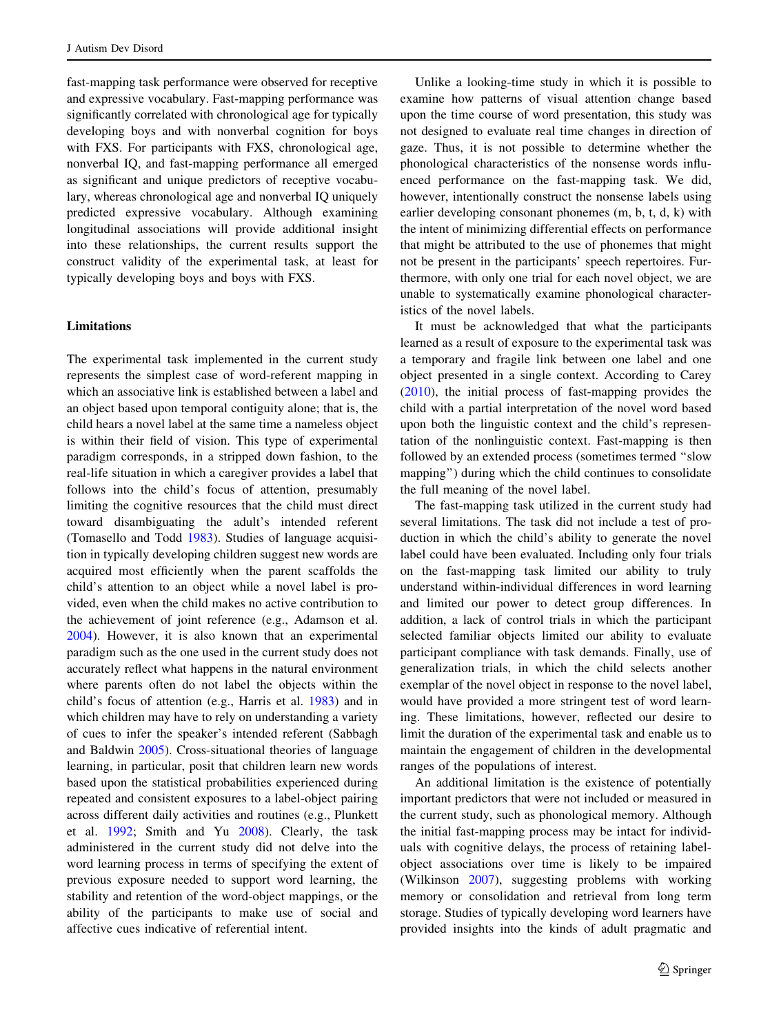fast-mapping task performance were observed for receptive and expressive vocabulary. Fast-mapping performance was significantly correlated with chronological age for typically developing boys and with nonverbal cognition for boys with FXS. For participants with FXS, chronological age, nonverbal IQ, and fast-mapping performance all emerged as significant and unique predictors of receptive vocabulary, whereas chronological age and nonverbal IQ uniquely predicted expressive vocabulary. Although examining longitudinal associations will provide additional insight into these relationships, the current results support the construct validity of the experimental task, at least for typically developing boys and boys with FXS.

### Limitations

The experimental task implemented in the current study represents the simplest case of word-referent mapping in which an associative link is established between a label and an object based upon temporal contiguity alone; that is, the child hears a novel label at the same time a nameless object is within their field of vision. This type of experimental paradigm corresponds, in a stripped down fashion, to the real-life situation in which a caregiver provides a label that follows into the child's focus of attention, presumably limiting the cognitive resources that the child must direct toward disambiguating the adult's intended referent (Tomasello and Todd [1983](#page-15-0)). Studies of language acquisition in typically developing children suggest new words are acquired most efficiently when the parent scaffolds the child's attention to an object while a novel label is provided, even when the child makes no active contribution to the achievement of joint reference (e.g., Adamson et al. [2004\)](#page-13-0). However, it is also known that an experimental paradigm such as the one used in the current study does not accurately reflect what happens in the natural environment where parents often do not label the objects within the child's focus of attention (e.g., Harris et al. [1983\)](#page-14-0) and in which children may have to rely on understanding a variety of cues to infer the speaker's intended referent (Sabbagh and Baldwin [2005\)](#page-15-0). Cross-situational theories of language learning, in particular, posit that children learn new words based upon the statistical probabilities experienced during repeated and consistent exposures to a label-object pairing across different daily activities and routines (e.g., Plunkett et al. [1992;](#page-14-0) Smith and Yu [2008](#page-15-0)). Clearly, the task administered in the current study did not delve into the word learning process in terms of specifying the extent of previous exposure needed to support word learning, the stability and retention of the word-object mappings, or the ability of the participants to make use of social and affective cues indicative of referential intent.

upon the time course of word presentation, this study was not designed to evaluate real time changes in direction of gaze. Thus, it is not possible to determine whether the phonological characteristics of the nonsense words influenced performance on the fast-mapping task. We did, however, intentionally construct the nonsense labels using earlier developing consonant phonemes (m, b, t, d, k) with the intent of minimizing differential effects on performance that might be attributed to the use of phonemes that might not be present in the participants' speech repertoires. Furthermore, with only one trial for each novel object, we are unable to systematically examine phonological characteristics of the novel labels. It must be acknowledged that what the participants learned as a result of exposure to the experimental task was a temporary and fragile link between one label and one

Unlike a looking-time study in which it is possible to examine how patterns of visual attention change based

object presented in a single context. According to Carey [\(2010](#page-14-0)), the initial process of fast-mapping provides the child with a partial interpretation of the novel word based upon both the linguistic context and the child's representation of the nonlinguistic context. Fast-mapping is then followed by an extended process (sometimes termed ''slow mapping'') during which the child continues to consolidate the full meaning of the novel label.

The fast-mapping task utilized in the current study had several limitations. The task did not include a test of production in which the child's ability to generate the novel label could have been evaluated. Including only four trials on the fast-mapping task limited our ability to truly understand within-individual differences in word learning and limited our power to detect group differences. In addition, a lack of control trials in which the participant selected familiar objects limited our ability to evaluate participant compliance with task demands. Finally, use of generalization trials, in which the child selects another exemplar of the novel object in response to the novel label, would have provided a more stringent test of word learning. These limitations, however, reflected our desire to limit the duration of the experimental task and enable us to maintain the engagement of children in the developmental ranges of the populations of interest.

An additional limitation is the existence of potentially important predictors that were not included or measured in the current study, such as phonological memory. Although the initial fast-mapping process may be intact for individuals with cognitive delays, the process of retaining labelobject associations over time is likely to be impaired (Wilkinson [2007](#page-15-0)), suggesting problems with working memory or consolidation and retrieval from long term storage. Studies of typically developing word learners have provided insights into the kinds of adult pragmatic and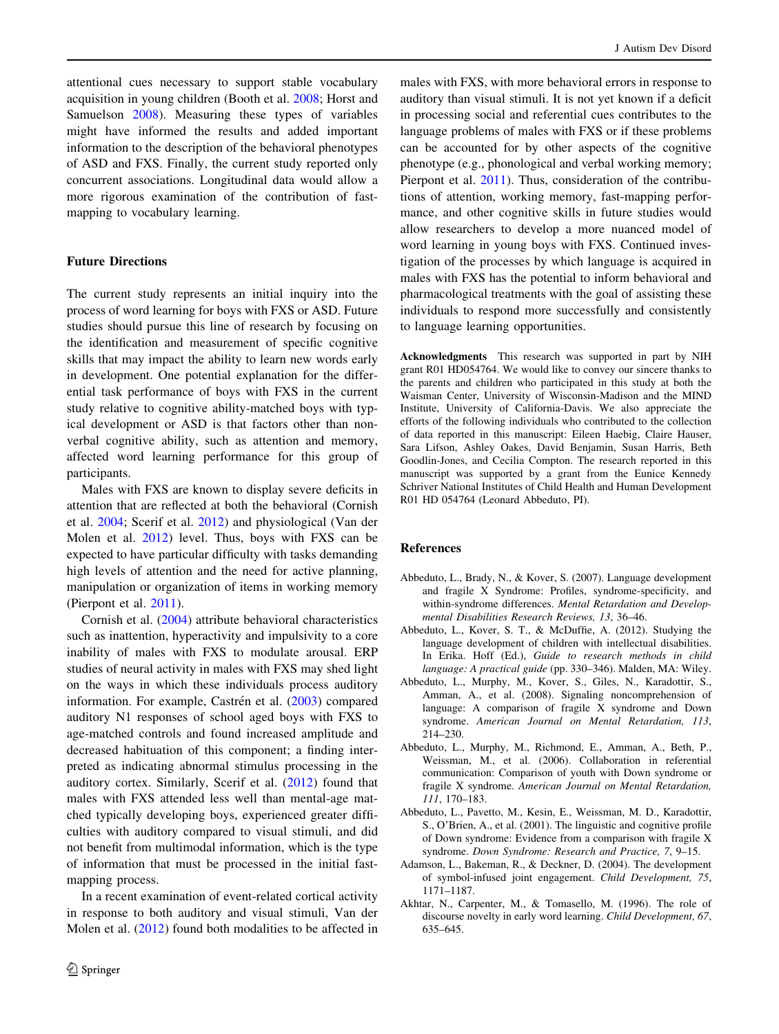<span id="page-13-0"></span>attentional cues necessary to support stable vocabulary acquisition in young children (Booth et al. [2008](#page-14-0); Horst and Samuelson [2008](#page-14-0)). Measuring these types of variables might have informed the results and added important information to the description of the behavioral phenotypes of ASD and FXS. Finally, the current study reported only concurrent associations. Longitudinal data would allow a more rigorous examination of the contribution of fastmapping to vocabulary learning.

### Future Directions

The current study represents an initial inquiry into the process of word learning for boys with FXS or ASD. Future studies should pursue this line of research by focusing on the identification and measurement of specific cognitive skills that may impact the ability to learn new words early in development. One potential explanation for the differential task performance of boys with FXS in the current study relative to cognitive ability-matched boys with typical development or ASD is that factors other than nonverbal cognitive ability, such as attention and memory, affected word learning performance for this group of participants.

Males with FXS are known to display severe deficits in attention that are reflected at both the behavioral (Cornish et al. [2004;](#page-14-0) Scerif et al. [2012](#page-15-0)) and physiological (Van der Molen et al. [2012\)](#page-15-0) level. Thus, boys with FXS can be expected to have particular difficulty with tasks demanding high levels of attention and the need for active planning, manipulation or organization of items in working memory (Pierpont et al. [2011](#page-15-0)).

Cornish et al. [\(2004](#page-14-0)) attribute behavioral characteristics such as inattention, hyperactivity and impulsivity to a core inability of males with FXS to modulate arousal. ERP studies of neural activity in males with FXS may shed light on the ways in which these individuals process auditory information. For example, Castrén et al. ([2003\)](#page-14-0) compared auditory N1 responses of school aged boys with FXS to age-matched controls and found increased amplitude and decreased habituation of this component; a finding interpreted as indicating abnormal stimulus processing in the auditory cortex. Similarly, Scerif et al. ([2012\)](#page-15-0) found that males with FXS attended less well than mental-age matched typically developing boys, experienced greater difficulties with auditory compared to visual stimuli, and did not benefit from multimodal information, which is the type of information that must be processed in the initial fastmapping process.

In a recent examination of event-related cortical activity in response to both auditory and visual stimuli, Van der Molen et al. ([2012\)](#page-15-0) found both modalities to be affected in

males with FXS, with more behavioral errors in response to auditory than visual stimuli. It is not yet known if a deficit in processing social and referential cues contributes to the language problems of males with FXS or if these problems can be accounted for by other aspects of the cognitive phenotype (e.g., phonological and verbal working memory; Pierpont et al. [2011](#page-15-0)). Thus, consideration of the contributions of attention, working memory, fast-mapping performance, and other cognitive skills in future studies would allow researchers to develop a more nuanced model of word learning in young boys with FXS. Continued investigation of the processes by which language is acquired in males with FXS has the potential to inform behavioral and pharmacological treatments with the goal of assisting these individuals to respond more successfully and consistently to language learning opportunities.

Acknowledgments This research was supported in part by NIH grant R01 HD054764. We would like to convey our sincere thanks to the parents and children who participated in this study at both the Waisman Center, University of Wisconsin-Madison and the MIND Institute, University of California-Davis. We also appreciate the efforts of the following individuals who contributed to the collection of data reported in this manuscript: Eileen Haebig, Claire Hauser, Sara Lifson, Ashley Oakes, David Benjamin, Susan Harris, Beth Goodlin-Jones, and Cecilia Compton. The research reported in this manuscript was supported by a grant from the Eunice Kennedy Schriver National Institutes of Child Health and Human Development R01 HD 054764 (Leonard Abbeduto, PI).

### References

- Abbeduto, L., Brady, N., & Kover, S. (2007). Language development and fragile X Syndrome: Profiles, syndrome-specificity, and within-syndrome differences. Mental Retardation and Developmental Disabilities Research Reviews, 13, 36–46.
- Abbeduto, L., Kover, S. T., & McDuffie, A. (2012). Studying the language development of children with intellectual disabilities. In Erika. Hoff (Ed.), Guide to research methods in child language: A practical guide (pp. 330–346). Malden, MA: Wiley.
- Abbeduto, L., Murphy, M., Kover, S., Giles, N., Karadottir, S., Amman, A., et al. (2008). Signaling noncomprehension of language: A comparison of fragile X syndrome and Down syndrome. American Journal on Mental Retardation, 113, 214–230.
- Abbeduto, L., Murphy, M., Richmond, E., Amman, A., Beth, P., Weissman, M., et al. (2006). Collaboration in referential communication: Comparison of youth with Down syndrome or fragile X syndrome. American Journal on Mental Retardation, 111, 170–183.
- Abbeduto, L., Pavetto, M., Kesin, E., Weissman, M. D., Karadottir, S., O'Brien, A., et al. (2001). The linguistic and cognitive profile of Down syndrome: Evidence from a comparison with fragile X syndrome. Down Syndrome: Research and Practice, 7, 9–15.
- Adamson, L., Bakeman, R., & Deckner, D. (2004). The development of symbol-infused joint engagement. Child Development, 75, 1171–1187.
- Akhtar, N., Carpenter, M., & Tomasello, M. (1996). The role of discourse novelty in early word learning. Child Development, 67, 635–645.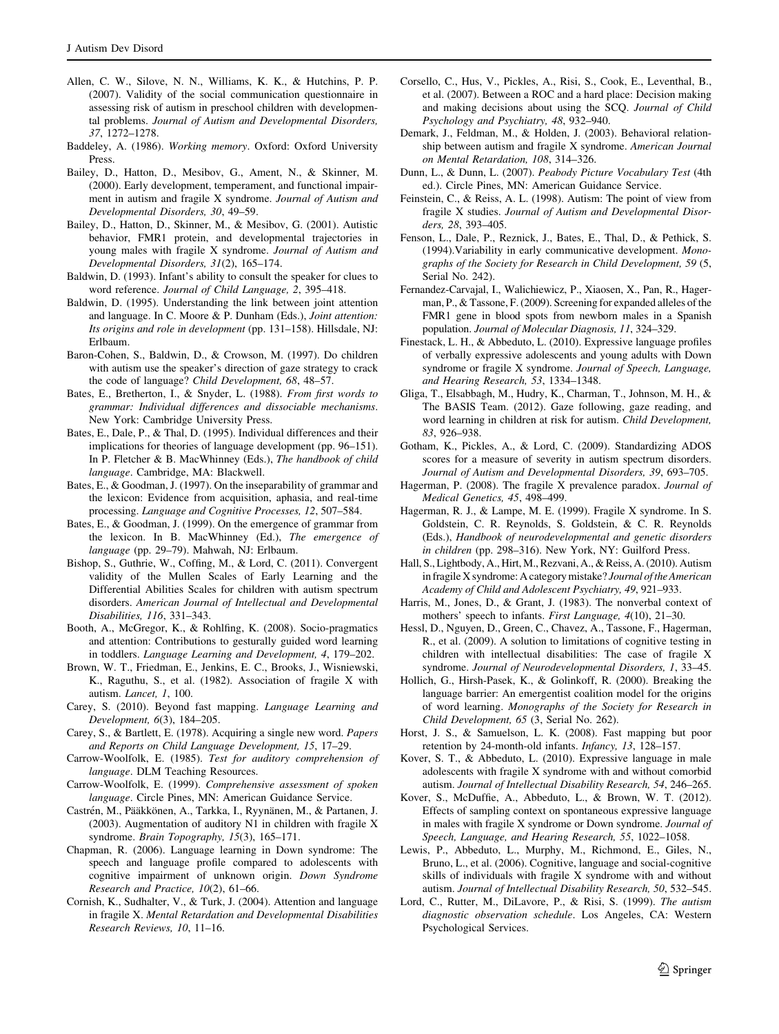- <span id="page-14-0"></span>Allen, C. W., Silove, N. N., Williams, K. K., & Hutchins, P. P. (2007). Validity of the social communication questionnaire in assessing risk of autism in preschool children with developmental problems. Journal of Autism and Developmental Disorders, 37, 1272–1278.
- Baddeley, A. (1986). Working memory. Oxford: Oxford University Press.
- Bailey, D., Hatton, D., Mesibov, G., Ament, N., & Skinner, M. (2000). Early development, temperament, and functional impairment in autism and fragile X syndrome. Journal of Autism and Developmental Disorders, 30, 49–59.
- Bailey, D., Hatton, D., Skinner, M., & Mesibov, G. (2001). Autistic behavior, FMR1 protein, and developmental trajectories in young males with fragile X syndrome. Journal of Autism and Developmental Disorders, 31(2), 165–174.
- Baldwin, D. (1993). Infant's ability to consult the speaker for clues to word reference. Journal of Child Language, 2, 395–418.
- Baldwin, D. (1995). Understanding the link between joint attention and language. In C. Moore & P. Dunham (Eds.), Joint attention: Its origins and role in development (pp. 131–158). Hillsdale, NJ: Erlbaum.
- Baron-Cohen, S., Baldwin, D., & Crowson, M. (1997). Do children with autism use the speaker's direction of gaze strategy to crack the code of language? Child Development, 68, 48–57.
- Bates, E., Bretherton, I., & Snyder, L. (1988). From first words to grammar: Individual differences and dissociable mechanisms. New York: Cambridge University Press.
- Bates, E., Dale, P., & Thal, D. (1995). Individual differences and their implications for theories of language development (pp. 96–151). In P. Fletcher & B. MacWhinney (Eds.), The handbook of child language. Cambridge, MA: Blackwell.
- Bates, E., & Goodman, J. (1997). On the inseparability of grammar and the lexicon: Evidence from acquisition, aphasia, and real-time processing. Language and Cognitive Processes, 12, 507–584.
- Bates, E., & Goodman, J. (1999). On the emergence of grammar from the lexicon. In B. MacWhinney (Ed.), The emergence of language (pp. 29–79). Mahwah, NJ: Erlbaum.
- Bishop, S., Guthrie, W., Coffing, M., & Lord, C. (2011). Convergent validity of the Mullen Scales of Early Learning and the Differential Abilities Scales for children with autism spectrum disorders. American Journal of Intellectual and Developmental Disabilities, 116, 331–343.
- Booth, A., McGregor, K., & Rohlfing, K. (2008). Socio-pragmatics and attention: Contributions to gesturally guided word learning in toddlers. Language Learning and Development, 4, 179–202.
- Brown, W. T., Friedman, E., Jenkins, E. C., Brooks, J., Wisniewski, K., Raguthu, S., et al. (1982). Association of fragile X with autism. Lancet, 1, 100.
- Carey, S. (2010). Beyond fast mapping. Language Learning and Development, 6(3), 184–205.
- Carey, S., & Bartlett, E. (1978). Acquiring a single new word. Papers and Reports on Child Language Development, 15, 17–29.
- Carrow-Woolfolk, E. (1985). Test for auditory comprehension of language. DLM Teaching Resources.
- Carrow-Woolfolk, E. (1999). Comprehensive assessment of spoken language. Circle Pines, MN: American Guidance Service.
- Castrén, M., Pääkkönen, A., Tarkka, I., Ryynänen, M., & Partanen, J. (2003). Augmentation of auditory N1 in children with fragile X syndrome. *Brain Topography*, 15(3), 165–171.
- Chapman, R. (2006). Language learning in Down syndrome: The speech and language profile compared to adolescents with cognitive impairment of unknown origin. Down Syndrome Research and Practice, 10(2), 61–66.
- Cornish, K., Sudhalter, V., & Turk, J. (2004). Attention and language in fragile X. Mental Retardation and Developmental Disabilities Research Reviews, 10, 11–16.
- Corsello, C., Hus, V., Pickles, A., Risi, S., Cook, E., Leventhal, B., et al. (2007). Between a ROC and a hard place: Decision making and making decisions about using the SCQ. Journal of Child Psychology and Psychiatry, 48, 932–940.
- Demark, J., Feldman, M., & Holden, J. (2003). Behavioral relationship between autism and fragile X syndrome. American Journal on Mental Retardation, 108, 314–326.
- Dunn, L., & Dunn, L. (2007). Peabody Picture Vocabulary Test (4th ed.). Circle Pines, MN: American Guidance Service.
- Feinstein, C., & Reiss, A. L. (1998). Autism: The point of view from fragile X studies. Journal of Autism and Developmental Disorders, 28, 393–405.
- Fenson, L., Dale, P., Reznick, J., Bates, E., Thal, D., & Pethick, S. (1994).Variability in early communicative development. Monographs of the Society for Research in Child Development, 59 (5, Serial No. 242).
- Fernandez-Carvajal, I., Walichiewicz, P., Xiaosen, X., Pan, R., Hagerman, P., & Tassone, F. (2009). Screening for expanded alleles of the FMR1 gene in blood spots from newborn males in a Spanish population. Journal of Molecular Diagnosis, 11, 324–329.
- Finestack, L. H., & Abbeduto, L. (2010). Expressive language profiles of verbally expressive adolescents and young adults with Down syndrome or fragile X syndrome. Journal of Speech, Language, and Hearing Research, 53, 1334–1348.
- Gliga, T., Elsabbagh, M., Hudry, K., Charman, T., Johnson, M. H., & The BASIS Team. (2012). Gaze following, gaze reading, and word learning in children at risk for autism. Child Development, 83, 926–938.
- Gotham, K., Pickles, A., & Lord, C. (2009). Standardizing ADOS scores for a measure of severity in autism spectrum disorders. Journal of Autism and Developmental Disorders, 39, 693–705.
- Hagerman, P. (2008). The fragile X prevalence paradox. Journal of Medical Genetics, 45, 498–499.
- Hagerman, R. J., & Lampe, M. E. (1999). Fragile X syndrome. In S. Goldstein, C. R. Reynolds, S. Goldstein, & C. R. Reynolds (Eds.), Handbook of neurodevelopmental and genetic disorders in children (pp. 298–316). New York, NY: Guilford Press.
- Hall, S., Lightbody, A., Hirt, M., Rezvani, A., & Reiss, A. (2010). Autism in fragile X syndrome: A category mistake? Journal of the American Academy of Child and Adolescent Psychiatry, 49, 921–933.
- Harris, M., Jones, D., & Grant, J. (1983). The nonverbal context of mothers' speech to infants. First Language, 4(10), 21–30.
- Hessl, D., Nguyen, D., Green, C., Chavez, A., Tassone, F., Hagerman, R., et al. (2009). A solution to limitations of cognitive testing in children with intellectual disabilities: The case of fragile X syndrome. Journal of Neurodevelopmental Disorders, 1, 33–45.
- Hollich, G., Hirsh-Pasek, K., & Golinkoff, R. (2000). Breaking the language barrier: An emergentist coalition model for the origins of word learning. Monographs of the Society for Research in Child Development, 65 (3, Serial No. 262).
- Horst, J. S., & Samuelson, L. K. (2008). Fast mapping but poor retention by 24-month-old infants. Infancy, 13, 128–157.
- Kover, S. T., & Abbeduto, L. (2010). Expressive language in male adolescents with fragile X syndrome with and without comorbid autism. Journal of Intellectual Disability Research, 54, 246–265.
- Kover, S., McDuffie, A., Abbeduto, L., & Brown, W. T. (2012). Effects of sampling context on spontaneous expressive language in males with fragile X syndrome or Down syndrome. Journal of Speech, Language, and Hearing Research, 55, 1022–1058.
- Lewis, P., Abbeduto, L., Murphy, M., Richmond, E., Giles, N., Bruno, L., et al. (2006). Cognitive, language and social-cognitive skills of individuals with fragile X syndrome with and without autism. Journal of Intellectual Disability Research, 50, 532–545.
- Lord, C., Rutter, M., DiLavore, P., & Risi, S. (1999). The autism diagnostic observation schedule. Los Angeles, CA: Western Psychological Services.